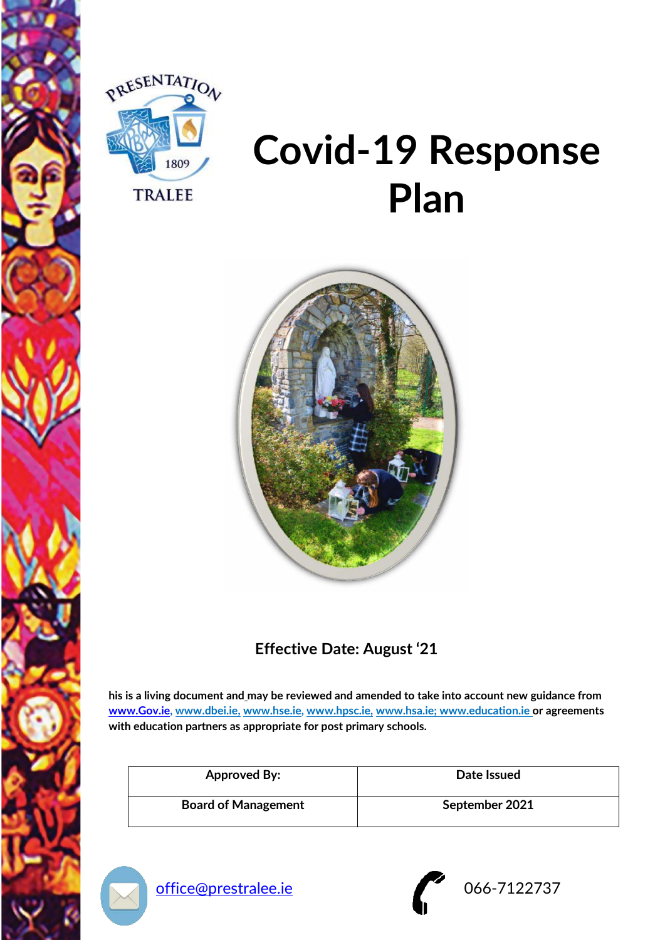

# **Covid-19 Response Plan**



# **Effective Date: August '21**

**his is a living document and may be reviewed and amended to take into account new guidance from [www.Gov.ie,](http://www.gov.ie/) [www.dbei.ie,](http://www.dbei.ie/) [www.hse.ie,](http://www.hse.ie/) [www.hpsc.ie,](http://www.hpsc.ie/) [www.hsa.ie;](http://www.hsa.ie/) [www.education.ie o](http://www.education.ie/)r agreements with education partners as appropriate for post primary schools.** 

| <b>Approved By:</b>        | Date Issued    |
|----------------------------|----------------|
| <b>Board of Management</b> | September 2021 |



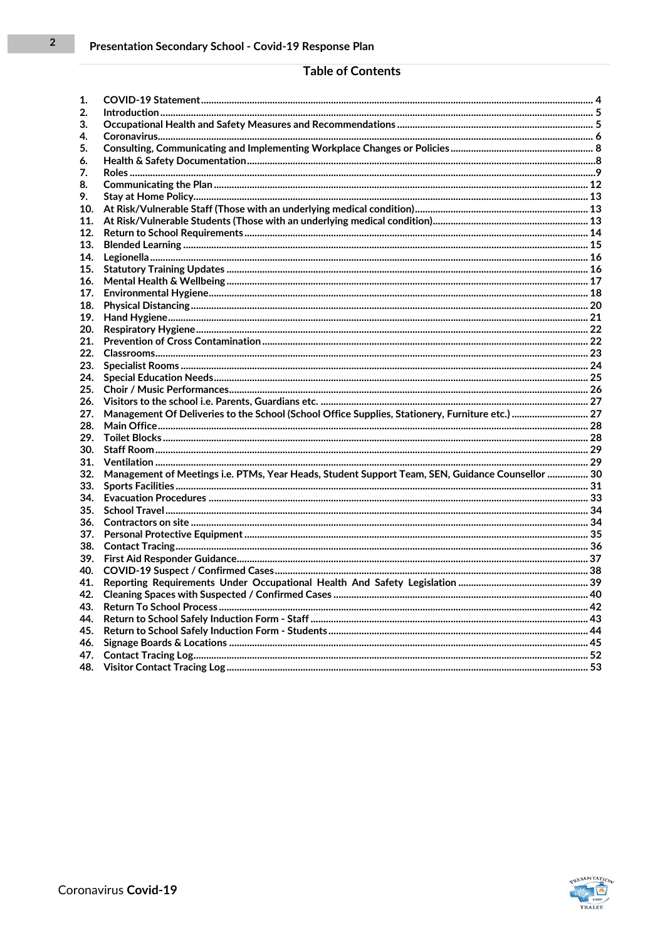# **Table of Contents**

| 1.  |                                                                                                  |  |
|-----|--------------------------------------------------------------------------------------------------|--|
| 2.  |                                                                                                  |  |
| 3.  |                                                                                                  |  |
| 4.  |                                                                                                  |  |
| 5.  |                                                                                                  |  |
| 6.  |                                                                                                  |  |
| 7.  |                                                                                                  |  |
| 8.  |                                                                                                  |  |
| 9.  |                                                                                                  |  |
| 10. |                                                                                                  |  |
| 11. |                                                                                                  |  |
| 12. |                                                                                                  |  |
| 13. |                                                                                                  |  |
| 14. |                                                                                                  |  |
| 15. |                                                                                                  |  |
| 16. |                                                                                                  |  |
| 17. |                                                                                                  |  |
| 18. |                                                                                                  |  |
| 19. |                                                                                                  |  |
| 20. |                                                                                                  |  |
| 21. |                                                                                                  |  |
| 22. |                                                                                                  |  |
| 23. |                                                                                                  |  |
| 24. |                                                                                                  |  |
| 25. |                                                                                                  |  |
| 26. |                                                                                                  |  |
| 27. |                                                                                                  |  |
| 28. |                                                                                                  |  |
| 29. |                                                                                                  |  |
| 30. |                                                                                                  |  |
| 31. |                                                                                                  |  |
| 32. | Management of Meetings i.e. PTMs, Year Heads, Student Support Team, SEN, Guidance Counsellor  30 |  |
| 33. |                                                                                                  |  |
| 34. |                                                                                                  |  |
| 35. |                                                                                                  |  |
| 36. |                                                                                                  |  |
| 37. |                                                                                                  |  |
| 38. |                                                                                                  |  |
| 39. |                                                                                                  |  |
| 40. |                                                                                                  |  |
| 41. |                                                                                                  |  |
|     |                                                                                                  |  |
| 43. |                                                                                                  |  |
| 44. |                                                                                                  |  |
| 45. |                                                                                                  |  |
| 46. |                                                                                                  |  |
| 47. |                                                                                                  |  |
| 48. |                                                                                                  |  |

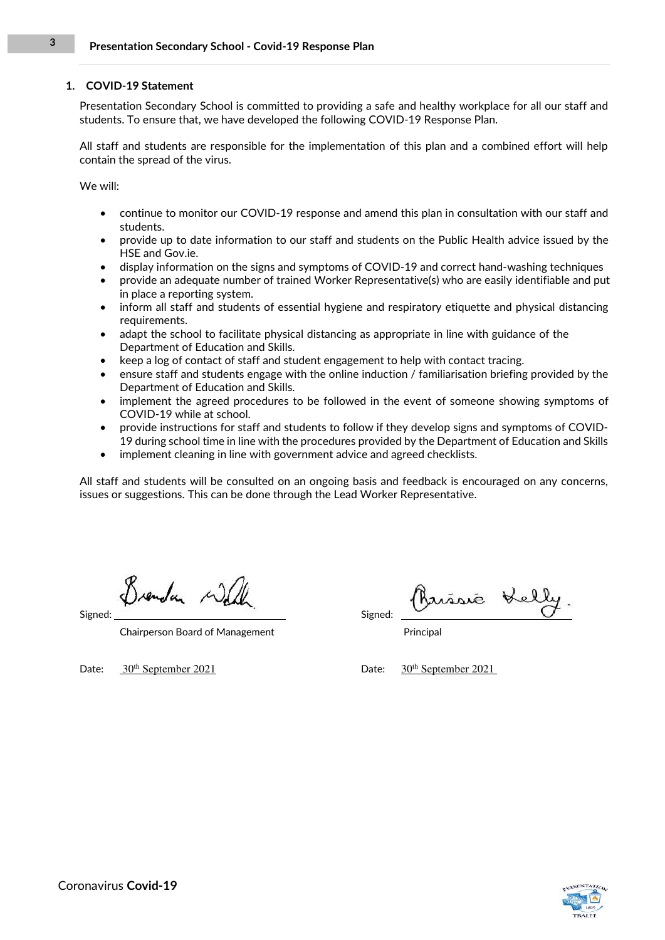#### <span id="page-2-0"></span>**1. COVID-19 Statement**

Presentation Secondary School is committed to providing a safe and healthy workplace for all our staff and students. To ensure that, we have developed the following COVID-19 Response Plan.

All staff and students are responsible for the implementation of this plan and a combined effort will help contain the spread of the virus.

We will:

- continue to monitor our COVID-19 response and amend this plan in consultation with our staff and students.
- provide up to date information to our staff and students on the Public Health advice issued by the HSE and Gov.ie.
- display information on the signs and symptoms of COVID-19 and correct hand-washing techniques
- provide an adequate number of trained Worker Representative(s) who are easily identifiable and put in place a reporting system.
- inform all staff and students of essential hygiene and respiratory etiquette and physical distancing requirements.
- adapt the school to facilitate physical distancing as appropriate in line with guidance of the Department of Education and Skills.
- keep a log of contact of staff and student engagement to help with contact tracing.
- ensure staff and students engage with the online induction / familiarisation briefing provided by the Department of Education and Skills.
- implement the agreed procedures to be followed in the event of someone showing symptoms of COVID-19 while at school.
- provide instructions for staff and students to follow if they develop signs and symptoms of COVID-19 during school time in line with the procedures provided by the Department of Education and Skills
- implement cleaning in line with government advice and agreed checklists.

All staff and students will be consulted on an ongoing basis and feedback is encouraged on any concerns, issues or suggestions. This can be done through the Lead Worker Representative.

renda ar

Signed: Signed:

Chairperson Board of Management **Principal** 

Kel sie

Date:  $30<sup>th</sup> September 2021$  Date:  $30<sup>th</sup> September 2021$ 

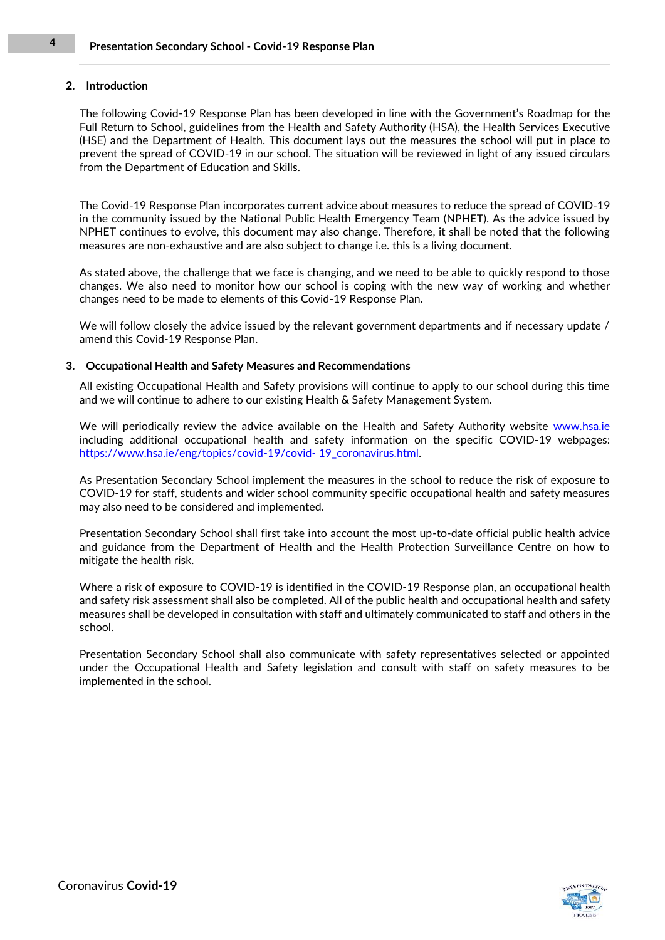#### <span id="page-3-0"></span>**2. Introduction**

The following Covid-19 Response Plan has been developed in line with the Government's Roadmap for the Full Return to School, guidelines from the Health and Safety Authority (HSA), the Health Services Executive (HSE) and the Department of Health. This document lays out the measures the school will put in place to prevent the spread of COVID-19 in our school. The situation will be reviewed in light of any issued circulars from the Department of Education and Skills.

The Covid-19 Response Plan incorporates current advice about measures to reduce the spread of COVID-19 in the community issued by the National Public Health Emergency Team (NPHET). As the advice issued by NPHET continues to evolve, this document may also change. Therefore, it shall be noted that the following measures are non-exhaustive and are also subject to change i.e. this is a living document.

As stated above, the challenge that we face is changing, and we need to be able to quickly respond to those changes. We also need to monitor how our school is coping with the new way of working and whether changes need to be made to elements of this Covid-19 Response Plan.

We will follow closely the advice issued by the relevant government departments and if necessary update / amend this Covid-19 Response Plan.

#### <span id="page-3-1"></span>**3. Occupational Health and Safety Measures and Recommendations**

All existing Occupational Health and Safety provisions will continue to apply to our school during this time and we will continue to adhere to our existing Health & Safety Management System.

We will periodically review the advice available on the Health and Safety Authority website www.hsa.ie including additional occupational health and safety information on the specific COVID-19 webpages: https://www.hsa.ie/eng/topics/covid-19/covid-19\_coronavirus.html.

As Presentation Secondary School implement the measures in the school to reduce the risk of exposure to COVID-19 for staff, students and wider school community specific occupational health and safety measures may also need to be considered and implemented.

Presentation Secondary School shall first take into account the most up-to-date official public health advice and guidance from the Department of Health and the Health Protection Surveillance Centre on how to mitigate the health risk.

Where a risk of exposure to COVID-19 is identified in the COVID-19 Response plan, an occupational health and safety risk assessment shall also be completed. All of the public health and occupational health and safety measures shall be developed in consultation with staff and ultimately communicated to staff and others in the school.

Presentation Secondary School shall also communicate with safety representatives selected or appointed under the Occupational Health and Safety legislation and consult with staff on safety measures to be implemented in the school.

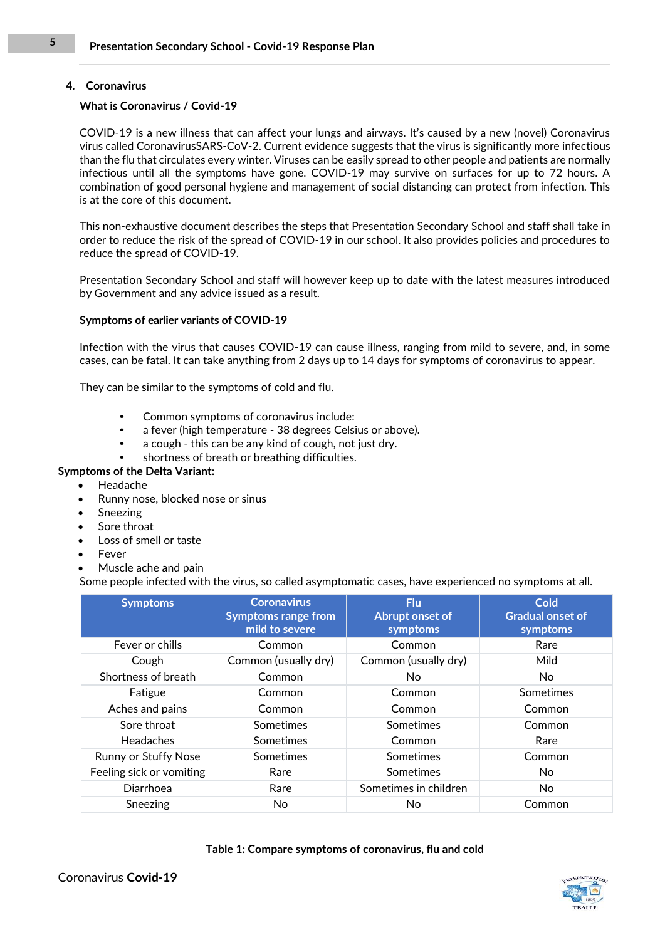# <span id="page-4-0"></span>**4. Coronavirus**

#### **What is Coronavirus / Covid-19**

COVID-19 is a new illness that can affect your lungs and airways. It's caused by a new (novel) Coronavirus virus called CoronavirusSARS-CoV-2. Current evidence suggests that the virus is significantly more infectious than the flu that circulates every winter. Viruses can be easily spread to other people and patients are normally infectious until all the symptoms have gone. COVID-19 may survive on surfaces for up to 72 hours. A combination of good personal hygiene and management of social distancing can protect from infection. This is at the core of this document.

This non-exhaustive document describes the steps that Presentation Secondary School and staff shall take in order to reduce the risk of the spread of COVID-19 in our school. It also provides policies and procedures to reduce the spread of COVID-19.

Presentation Secondary School and staff will however keep up to date with the latest measures introduced by Government and any advice issued as a result.

#### **Symptoms of earlier variants of COVID-19**

Infection with the virus that causes COVID-19 can cause illness, ranging from mild to severe, and, in some cases, can be fatal. It can take anything from 2 days up to 14 days for symptoms of coronavirus to appear.

They can be similar to the symptoms of cold and flu.

- Common symptoms of coronavirus include:
- a fever (high temperature 38 degrees Celsius or above).
- a cough this can be any kind of cough, not just dry.
- shortness of breath or breathing difficulties.

#### **Symptoms of the Delta Variant:**

- Headache
- Runny nose, blocked nose or sinus
- Sneezing
- Sore throat
- Loss of smell or taste
- **Fever**
- Muscle ache and pain

Some people infected with the virus, so called asymptomatic cases, have experienced no symptoms at all.

| <b>Symptoms</b>          | <b>Coronavirus</b><br><b>Symptoms range from</b><br>mild to severe | <b>Flu</b><br>Abrupt onset of<br>symptoms | Cold<br><b>Gradual onset of</b><br>symptoms |
|--------------------------|--------------------------------------------------------------------|-------------------------------------------|---------------------------------------------|
| Fever or chills          | Common                                                             | Common                                    | Rare                                        |
| Cough                    | Common (usually dry)                                               | Common (usually dry)                      | Mild                                        |
| Shortness of breath      | Common                                                             | No.                                       | N <sub>o</sub>                              |
| Fatigue                  | Common                                                             | Common                                    | Sometimes                                   |
| Aches and pains          | Common                                                             | Common                                    | Common                                      |
| Sore throat              | Sometimes                                                          | Sometimes                                 | Common                                      |
| Headaches                | Sometimes                                                          | Common                                    | Rare                                        |
| Runny or Stuffy Nose     | Sometimes                                                          | Sometimes                                 | Common                                      |
| Feeling sick or vomiting | Rare                                                               | Sometimes                                 | N <sub>o</sub>                              |
| Diarrhoea                | Rare                                                               | Sometimes in children                     | <b>No</b>                                   |
| Sneezing                 | No.                                                                | No                                        | Common                                      |

#### **Table 1: Compare symptoms of coronavirus, flu and cold**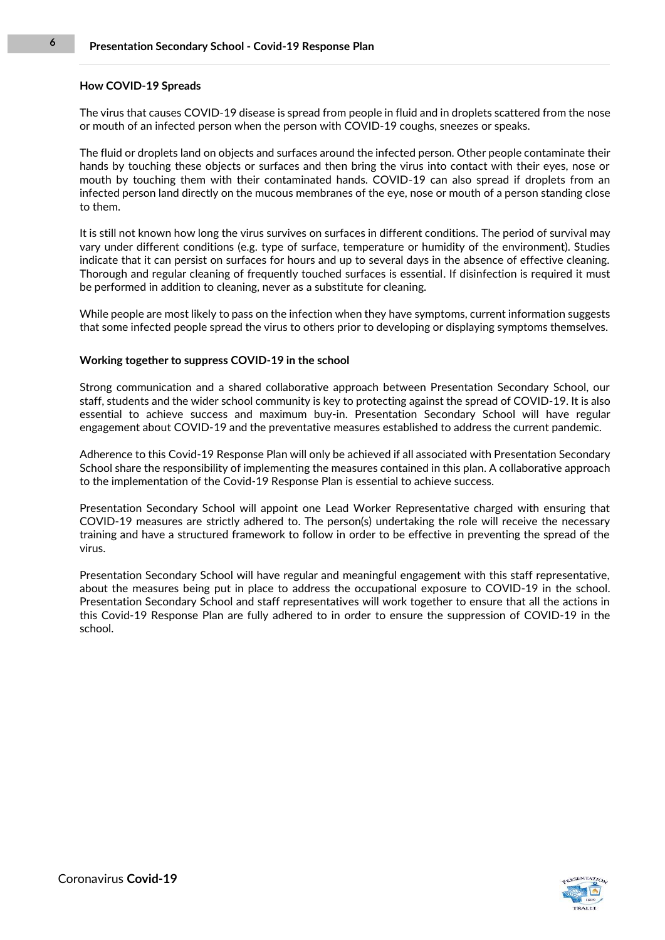#### **How COVID-19 Spreads**

The virus that causes COVID-19 disease is spread from people in fluid and in droplets scattered from the nose or mouth of an infected person when the person with COVID-19 coughs, sneezes or speaks.

The fluid or droplets land on objects and surfaces around the infected person. Other people contaminate their hands by touching these objects or surfaces and then bring the virus into contact with their eyes, nose or mouth by touching them with their contaminated hands. COVID-19 can also spread if droplets from an infected person land directly on the mucous membranes of the eye, nose or mouth of a person standing close to them.

It is still not known how long the virus survives on surfaces in different conditions. The period of survival may vary under different conditions (e.g. type of surface, temperature or humidity of the environment). Studies indicate that it can persist on surfaces for hours and up to several days in the absence of effective cleaning. Thorough and regular cleaning of frequently touched surfaces is essential. If disinfection is required it must be performed in addition to cleaning, never as a substitute for cleaning.

While people are most likely to pass on the infection when they have symptoms, current information suggests that some infected people spread the virus to others prior to developing or displaying symptoms themselves.

#### **Working together to suppress COVID-19 in the school**

Strong communication and a shared collaborative approach between Presentation Secondary School, our staff, students and the wider school community is key to protecting against the spread of COVID-19. It is also essential to achieve success and maximum buy-in. Presentation Secondary School will have regular engagement about COVID-19 and the preventative measures established to address the current pandemic.

Adherence to this Covid-19 Response Plan will only be achieved if all associated with Presentation Secondary School share the responsibility of implementing the measures contained in this plan. A collaborative approach to the implementation of the Covid-19 Response Plan is essential to achieve success.

Presentation Secondary School will appoint one Lead Worker Representative charged with ensuring that COVID-19 measures are strictly adhered to. The person(s) undertaking the role will receive the necessary training and have a structured framework to follow in order to be effective in preventing the spread of the virus.

Presentation Secondary School will have regular and meaningful engagement with this staff representative, about the measures being put in place to address the occupational exposure to COVID-19 in the school. Presentation Secondary School and staff representatives will work together to ensure that all the actions in this Covid-19 Response Plan are fully adhered to in order to ensure the suppression of COVID-19 in the school.

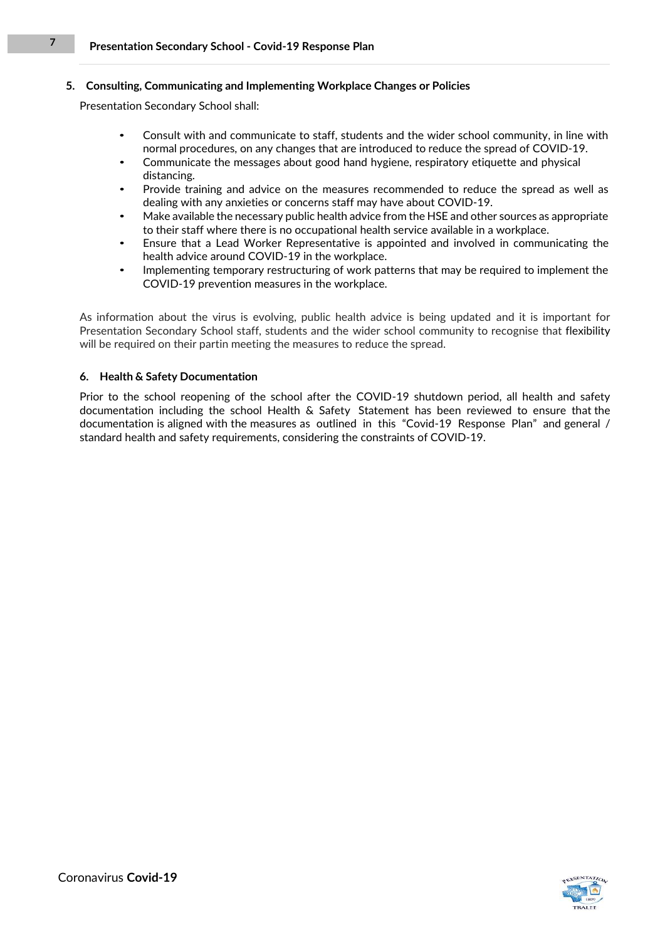# <span id="page-6-0"></span>**5. Consulting, Communicating and Implementing Workplace Changes or Policies**

Presentation Secondary School shall:

- Consult with and communicate to staff, students and the wider school community, in line with normal procedures, on any changes that are introduced to reduce the spread of COVID-19.
- Communicate the messages about good hand hygiene, respiratory etiquette and physical distancing.
- Provide training and advice on the measures recommended to reduce the spread as well as dealing with any anxieties or concerns staff may have about COVID-19.
- Make available the necessary public health advice from the HSE and other sources as appropriate to their staff where there is no occupational health service available in a workplace.
- Ensure that a Lead Worker Representative is appointed and involved in communicating the health advice around COVID-19 in the workplace.
- Implementing temporary restructuring of work patterns that may be required to implement the COVID-19 prevention measures in the workplace.

As information about the virus is evolving, public health advice is being updated and it is important for Presentation Secondary School staff, students and the wider school community to recognise that flexibility will be required on their partin meeting the measures to reduce the spread.

#### <span id="page-6-1"></span>**6. Health & Safety Documentation**

Prior to the school reopening of the school after the COVID-19 shutdown period, all health and safety documentation including the school Health & Safety Statement has been reviewed to ensure that the documentation is aligned with the measures as outlined in this "Covid-19 Response Plan" and general / standard health and safety requirements, considering the constraints of COVID-19.

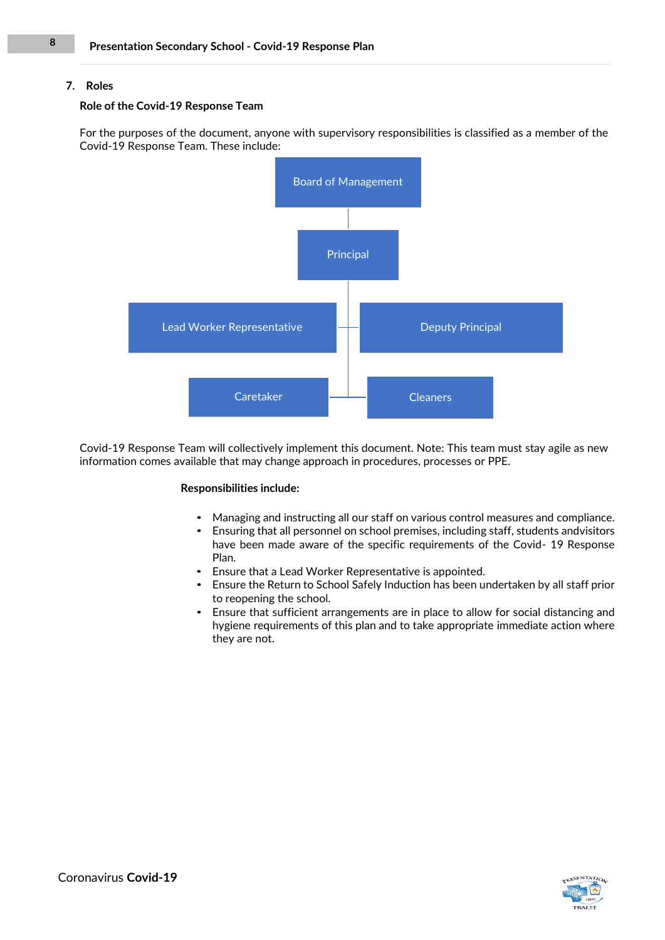# <span id="page-7-0"></span>**7. Roles**

#### **Role of the Covid-19 Response Team**

For the purposes of the document, anyone with supervisory responsibilities is classified as a member of the Covid-19 Response Team. These include:



Covid-19 Response Team will collectively implement this document. Note: This team must stay agile as new information comes available that may change approach in procedures, processes or PPE.

#### **Responsibilities include:**

- Managing and instructing all our staff on various control measures and compliance.
- Ensuring that all personnel on school premises, including staff, students andvisitors have been made aware of the specific requirements of the Covid- 19 Response Plan.
- Ensure that a Lead Worker Representative is appointed.
- Ensure the Return to School Safely Induction has been undertaken by all staff prior to reopening the school.
- Ensure that sufficient arrangements are in place to allow for social distancing and hygiene requirements of this plan and to take appropriate immediate action where they are not.

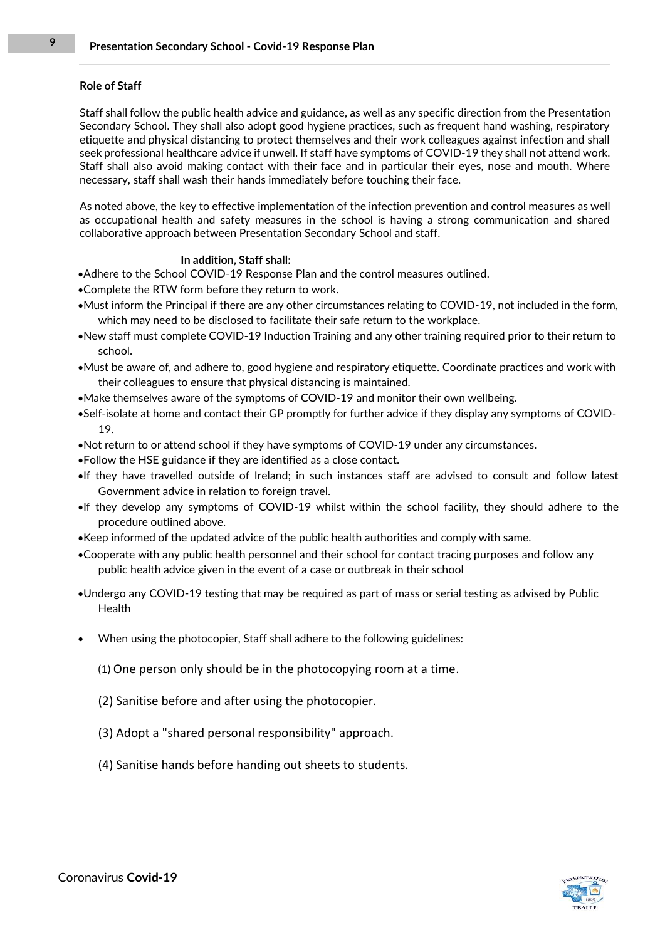# **Role of Staff**

Staff shall follow the public health advice and guidance, as well as any specific direction from the Presentation Secondary School. They shall also adopt good hygiene practices, such as frequent hand washing, respiratory etiquette and physical distancing to protect themselves and their work colleagues against infection and shall seek professional healthcare advice if unwell. If staff have symptoms of COVID-19 they shall not attend work. Staff shall also avoid making contact with their face and in particular their eyes, nose and mouth. Where necessary, staff shall wash their hands immediately before touching their face.

As noted above, the key to effective implementation of the infection prevention and control measures as well as occupational health and safety measures in the school is having a strong communication and shared collaborative approach between Presentation Secondary School and staff.

#### **In addition, Staff shall:**

- •Adhere to the School COVID-19 Response Plan and the control measures outlined.
- •Complete the RTW form before they return to work.
- •Must inform the Principal if there are any other circumstances relating to COVID-19, not included in the form, which may need to be disclosed to facilitate their safe return to the workplace.
- •New staff must complete COVID-19 Induction Training and any other training required prior to their return to school.
- •Must be aware of, and adhere to, good hygiene and respiratory etiquette. Coordinate practices and work with their colleagues to ensure that physical distancing is maintained.
- •Make themselves aware of the symptoms of COVID-19 and monitor their own wellbeing.
- •Self-isolate at home and contact their GP promptly for further advice if they display any symptoms of COVID-19.
- •Not return to or attend school if they have symptoms of COVID-19 under any circumstances.
- •Follow the HSE guidance if they are identified as a close contact.
- •If they have travelled outside of Ireland; in such instances staff are advised to consult and follow latest Government advice in relation to foreign travel.
- •If they develop any symptoms of COVID-19 whilst within the school facility, they should adhere to the procedure outlined above.
- •Keep informed of the updated advice of the public health authorities and comply with same.
- •Cooperate with any public health personnel and their school for contact tracing purposes and follow any public health advice given in the event of a case or outbreak in their school
- •Undergo any COVID-19 testing that may be required as part of mass or serial testing as advised by Public Health
- When using the photocopier, Staff shall adhere to the following guidelines:
	- (1) One person only should be in the photocopying room at a time.
	- (2) Sanitise before and after using the photocopier.
	- (3) Adopt a "shared personal responsibility" approach.
	- (4) Sanitise hands before handing out sheets to students.

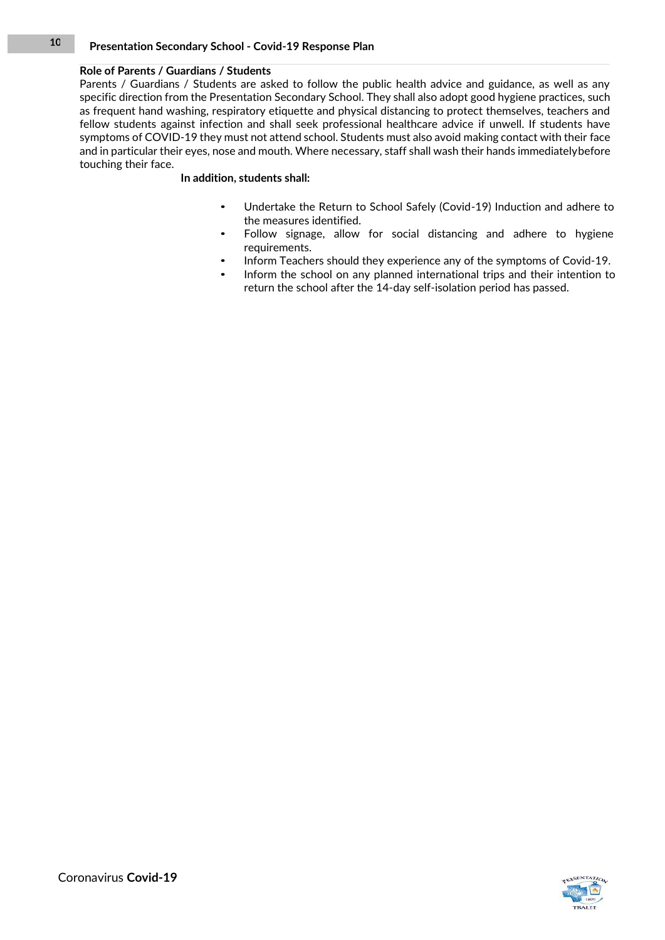# **Role of Parents / Guardians / Students**

Parents / Guardians / Students are asked to follow the public health advice and guidance, as well as any specific direction from the Presentation Secondary School. They shall also adopt good hygiene practices, such as frequent hand washing, respiratory etiquette and physical distancing to protect themselves, teachers and fellow students against infection and shall seek professional healthcare advice if unwell. If students have symptoms of COVID-19 they must not attend school. Students must also avoid making contact with their face and in particular their eyes, nose and mouth. Where necessary, staff shall wash their hands immediately before touching their face.

#### **In addition, students shall:**

- Undertake the Return to School Safely (Covid-19) Induction and adhere to the measures identified.
- Follow signage, allow for social distancing and adhere to hygiene requirements.
- Inform Teachers should they experience any of the symptoms of Covid-19.
- Inform the school on any planned international trips and their intention to return the school after the 14-day self-isolation period has passed.

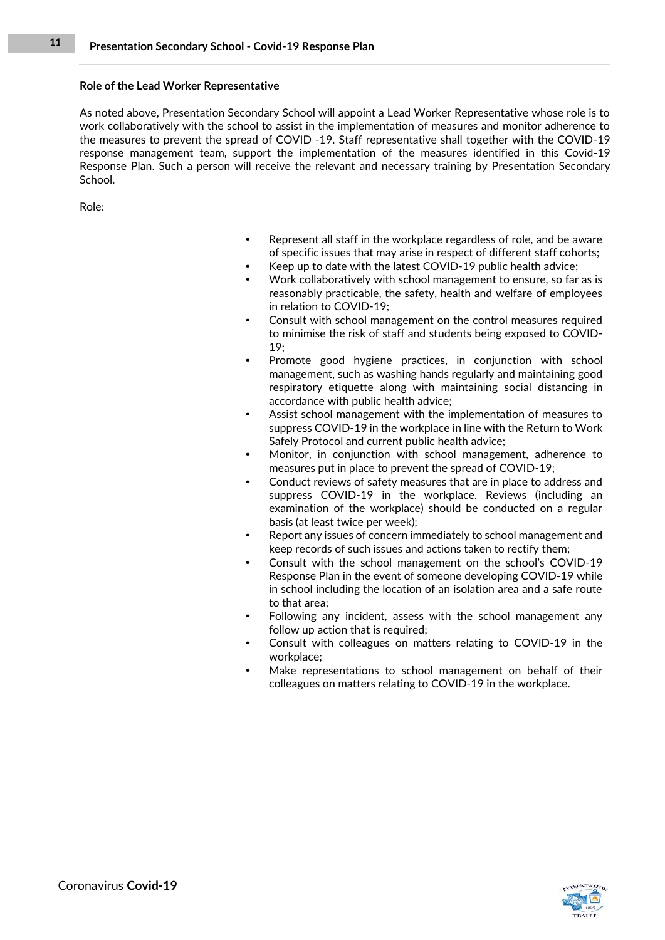#### **Role of the Lead Worker Representative**

As noted above, Presentation Secondary School will appoint a Lead Worker Representative whose role is to work collaboratively with the school to assist in the implementation of measures and monitor adherence to the measures to prevent the spread of COVID -19. Staff representative shall together with the COVID-19 response management team, support the implementation of the measures identified in this Covid-19 Response Plan. Such a person will receive the relevant and necessary training by Presentation Secondary School.

Role:

- Represent all staff in the workplace regardless of role, and be aware of specific issues that may arise in respect of different staff cohorts;
- Keep up to date with the latest COVID-19 public health advice;
- Work collaboratively with school management to ensure, so far as is reasonably practicable, the safety, health and welfare of employees in relation to COVID-19;
- Consult with school management on the control measures required to minimise the risk of staff and students being exposed to COVID-19;
- Promote good hygiene practices, in conjunction with school management, such as washing hands regularly and maintaining good respiratory etiquette along with maintaining social distancing in accordance with public health advice;
- Assist school management with the implementation of measures to suppress COVID-19 in the workplace in line with the Return to Work Safely Protocol and current public health advice;
- Monitor, in conjunction with school management, adherence to measures put in place to prevent the spread of COVID-19;
- Conduct reviews of safety measures that are in place to address and suppress COVID-19 in the workplace. Reviews (including an examination of the workplace) should be conducted on a regular basis (at least twice per week);
- Report any issues of concern immediately to school management and keep records of such issues and actions taken to rectify them;
- Consult with the school management on the school's COVID-19 Response Plan in the event of someone developing COVID-19 while in school including the location of an isolation area and a safe route to that area;
- Following any incident, assess with the school management any follow up action that is required;
- Consult with colleagues on matters relating to COVID-19 in the workplace;
- Make representations to school management on behalf of their colleagues on matters relating to COVID-19 in the workplace.

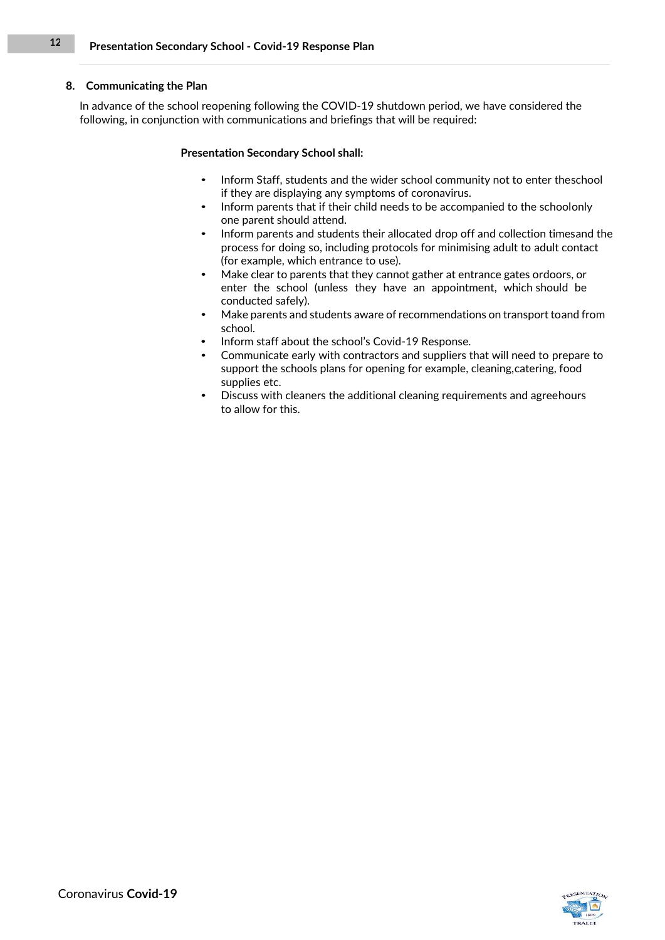# <span id="page-11-0"></span>**8. Communicating the Plan**

In advance of the school reopening following the COVID-19 shutdown period, we have considered the following, in conjunction with communications and briefings that will be required:

#### **Presentation Secondary School shall:**

- Inform Staff, students and the wider school community not to enter the school if they are displaying any symptoms of coronavirus.
- Inform parents that if their child needs to be accompanied to the schoolonly one parent should attend.
- Inform parents and students their allocated drop off and collection times and the process for doing so, including protocols for minimising adult to adult contact (for example, which entrance to use).
- Make clear to parents that they cannot gather at entrance gates or doors, or enter the school (unless they have an appointment, which should be conducted safely).
- Make parents and students aware of recommendations on transport to and from school.
- Inform staff about the school's Covid-19 Response.
- Communicate early with contractors and suppliers that will need to prepare to support the schools plans for opening for example, cleaning, catering, food supplies etc.
- Discuss with cleaners the additional cleaning requirements and agree hours to allow for this.

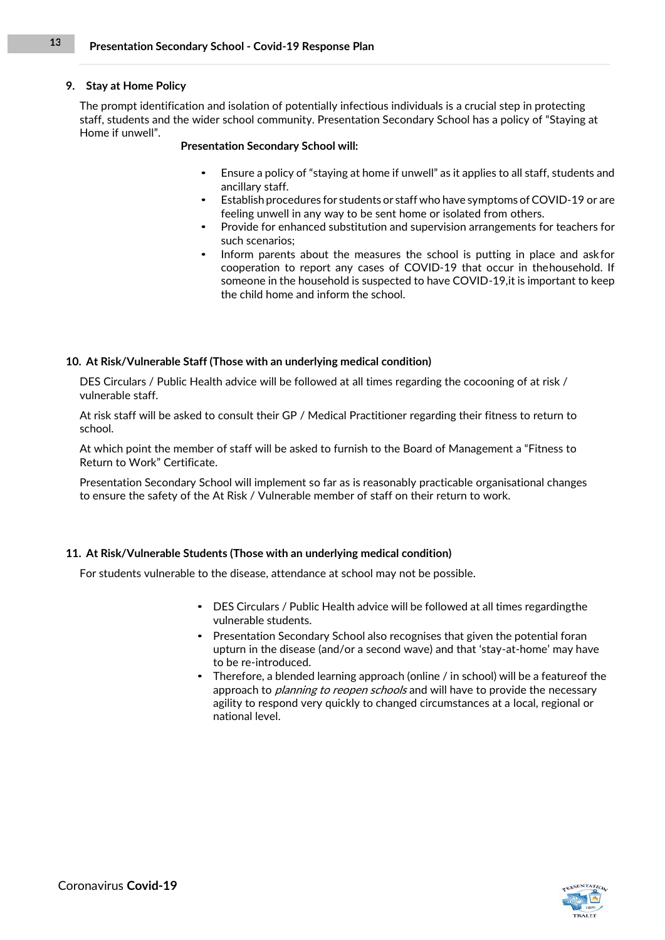# <span id="page-12-0"></span>**9. Stay at Home Policy**

The prompt identification and isolation of potentially infectious individuals is a crucial step in protecting staff, students and the wider school community. Presentation Secondary School has a policy of "Staying at Home if unwell".

#### **Presentation Secondary School will:**

- Ensure a policy of "staying at home if unwell" as it applies to all staff, students and ancillary staff.
- Establish procedures for students or staff who have symptoms of COVID- 19 or are feeling unwell in any way to be sent home or isolated from others.
- Provide for enhanced substitution and supervision arrangements for teachers for such scenarios;
- Inform parents about the measures the school is putting in place and ask for cooperation to report any cases of COVID-19 that occur in the household. If someone in the household is suspected to have COVID-19,it is important to keep the child home and inform the school.

# <span id="page-12-1"></span>**10. At Risk/Vulnerable Staff (Those with an underlying medical condition)**

DES Circulars / Public Health advice will be followed at all times regarding the cocooning of at risk / vulnerable staff.

At risk staff will be asked to consult their GP / Medical Practitioner regarding their fitness to return to school.

At which point the member of staff will be asked to furnish to the Board of Management a "Fitness to Return to Work" Certificate.

Presentation Secondary School will implement so far as is reasonably practicable organisational changes to ensure the safety of the At Risk / Vulnerable member of staff on their return to work.

# <span id="page-12-2"></span>**11. At Risk/Vulnerable Students (Those with an underlying medical condition)**

For students vulnerable to the disease, attendance at school may not be possible.

- DES Circulars / Public Health advice will be followed at all times regarding the vulnerable students.
- Presentation Secondary School also recognises that given the potential foran upturn in the disease (and/or a second wave) and that 'stay-at-home' may have to be re-introduced.
- Therefore, a blended learning approach (online / in school) will be a feature of the approach to *planning to reopen schools* and will have to provide the necessary agility to respond very quickly to changed circumstances at a local, regional or national level.

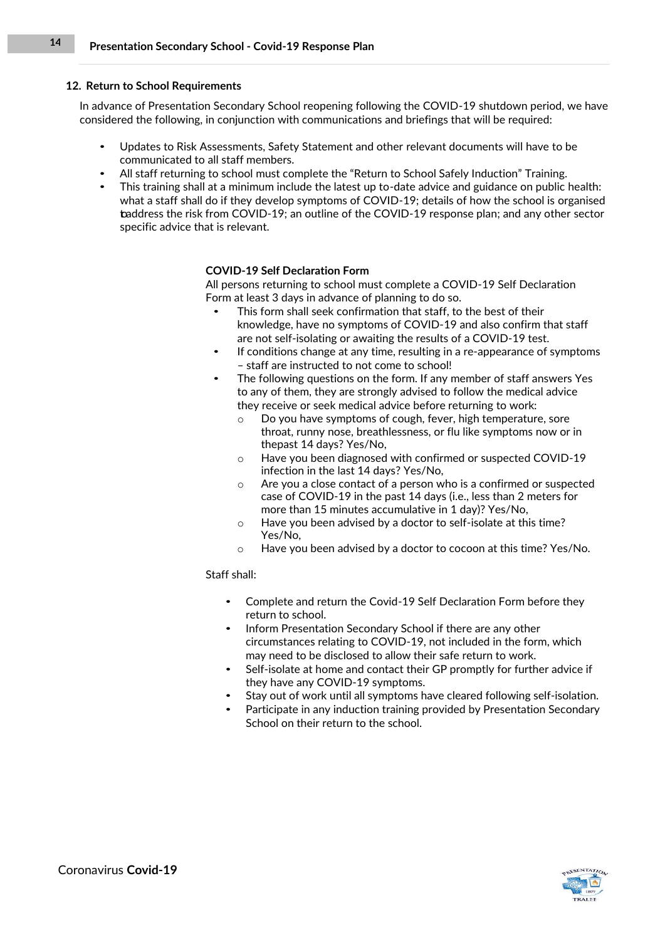# <span id="page-13-0"></span>**12. Return to School Requirements**

In advance of Presentation Secondary School reopening following the COVID-19 shutdown period, we have considered the following, in conjunction with communications and briefings that will be required:

- Updates to Risk Assessments, Safety Statement and other relevant documents will have to be communicated to all staff members.
- All staff returning to school must complete the "Return to School Safely Induction" Training.
- This training shall at a minimum include the latest up to-date advice and guidance on public health: what a staff shall do if they develop symptoms of COVID-19; details of how the school is organised toaddress the risk from COVID-19; an outline of the COVID-19 response plan; and any other sector specific advice that is relevant.

#### **COVID-19 Self Declaration Form**

All persons returning to school must complete a COVID-19 Self Declaration Form at least 3 days in advance of planning to do so.

- This form shall seek confirmation that staff, to the best of their knowledge, have no symptoms of COVID-19 and also confirm that staff are not self-isolating or awaiting the results of a COVID-19 test.
- If conditions change at any time, resulting in a re-appearance of symptoms – staff are instructed to not come to school!
- The following questions on the form. If any member of staff answers Yes to any of them, they are strongly advised to follow the medical advice they receive or seek medical advice before returning to work:
	- o Do you have symptoms of cough, fever, high temperature, sore throat, runny nose, breathlessness, or flu like symptoms now or in the past 14 days? Yes/No,
	- o Have you been diagnosed with confirmed or suspected COVID-19 infection in the last 14 days? Yes/No,
	- o Are you a close contact of a person who is a confirmed or suspected case of COVID-19 in the past 14 days (i.e., less than 2 meters for more than 15 minutes accumulative in 1 day)? Yes/No,
	- o Have you been advised by a doctor to self-isolate at this time? Yes/No,
	- o Have you been advised by a doctor to cocoon at this time? Yes/No.

#### Staff shall:

- Complete and return the Covid-19 Self Declaration Form before they return to school.
- Inform Presentation Secondary School if there are any other circumstances relating to COVID-19, not included in the form, which may need to be disclosed to allow their safe return to work.
- Self-isolate at home and contact their GP promptly for further advice if they have any COVID-19 symptoms.
- Stay out of work until all symptoms have cleared following self-isolation.
- Participate in any induction training provided by Presentation Secondary School on their return to the school.

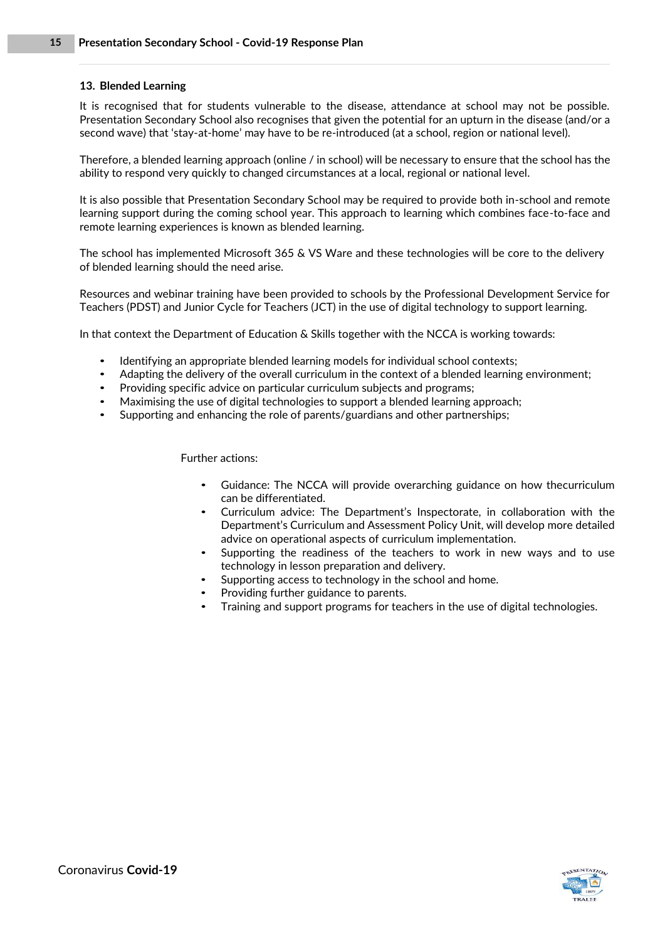# <span id="page-14-0"></span>**13. Blended Learning**

It is recognised that for students vulnerable to the disease, attendance at school may not be possible. Presentation Secondary School also recognises that given the potential for an upturn in the disease (and/or a second wave) that 'stay-at-home' may have to be re-introduced (at a school, region or national level).

Therefore, a blended learning approach (online / in school) will be necessary to ensure that the school has the ability to respond very quickly to changed circumstances at a local, regional or national level.

It is also possible that Presentation Secondary School may be required to provide both in-school and remote learning support during the coming school year. This approach to learning which combines face-to-face and remote learning experiences is known as blended learning.

The school has implemented Microsoft 365 & VS Ware and these technologies will be core to the delivery of blended learning should the need arise.

Resources and webinar training have been provided to schools by the Professional Development Service for Teachers (PDST) and Junior Cycle for Teachers (JCT) in the use of digital technology to support learning.

In that context the Department of Education & Skills together with the NCCA is working towards:

- Identifying an appropriate blended learning models for individual school contexts;
- Adapting the delivery of the overall curriculum in the context of a blended learning environment;
- Providing specific advice on particular curriculum subjects and programs;
- Maximising the use of digital technologies to support a blended learning approach;
- Supporting and enhancing the role of parents/guardians and other partnerships;

Further actions:

- Guidance: The NCCA will provide overarching guidance on how the curriculum can be differentiated.
- Curriculum advice: The Department's Inspectorate, in collaboration with the Department's Curriculum and Assessment Policy Unit, will develop more detailed advice on operational aspects of curriculum implementation.
- Supporting the readiness of the teachers to work in new ways and to use technology in lesson preparation and delivery.
- Supporting access to technology in the school and home.
- Providing further guidance to parents.
- Training and support programs for teachers in the use of digital technologies.

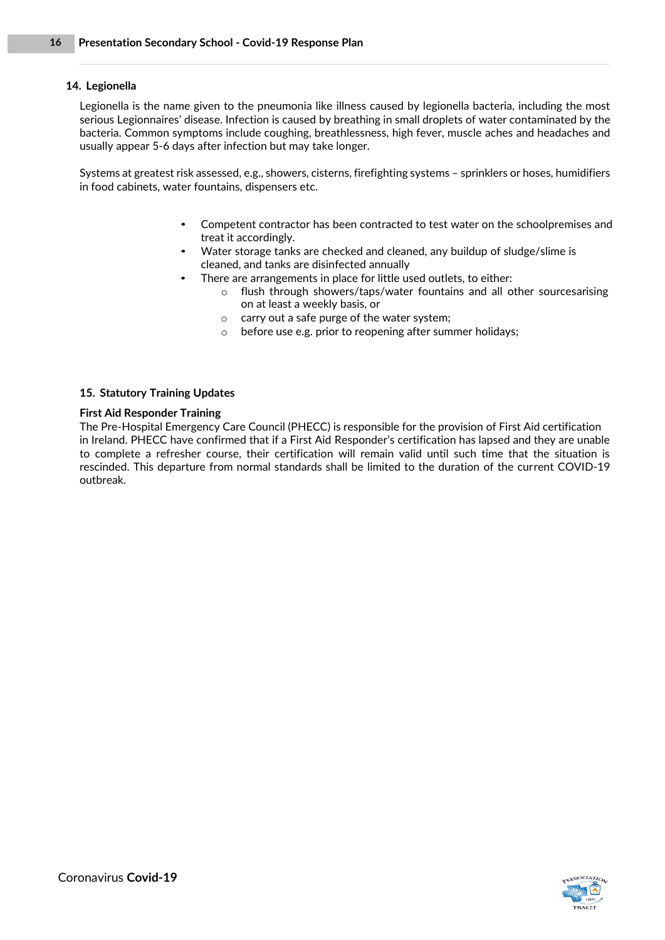# <span id="page-15-0"></span>**14. Legionella**

Legionella is the name given to the pneumonia like illness caused by legionella bacteria, including the most serious Legionnaires' disease. Infection is caused by breathing in small droplets of water contaminated by the bacteria. Common symptoms include coughing, breathlessness, high fever, muscle aches and headaches and usually appear 5-6 days after infection but may take longer.

Systems at greatest risk assessed, e.g., showers, cisterns, firefighting systems – sprinklers or hoses, humidifiers in food cabinets, water fountains, dispensers etc.

- Competent contractor has been contracted to test water on the schoolpremises and treat it accordingly.
- Water storage tanks are checked and cleaned, any buildup of sludge/slime is cleaned, and tanks are disinfected annually
- There are arrangements in place for little used outlets, to either:<br>  $\circ$  flush through showers/taps/water fountains and all o
	- flush through showers/taps/water fountains and all other sources arising on at least a weekly basis, or
	- o carry out a safe purge of the water system;
	- o before use e.g. prior to reopening after summer holidays;

# **15. Statutory Training Updates**

# **First Aid Responder Training**

The Pre-Hospital Emergency Care Council (PHECC) is responsible for the provision of First Aid certification in Ireland. PHECC have confirmed that if a First Aid Responder's certification has lapsed and they are unable to complete a refresher course, their certification will remain valid until such time that the situation is rescinded. This departure from normal standards shall be limited to the duration of the current COVID-19 outbreak.

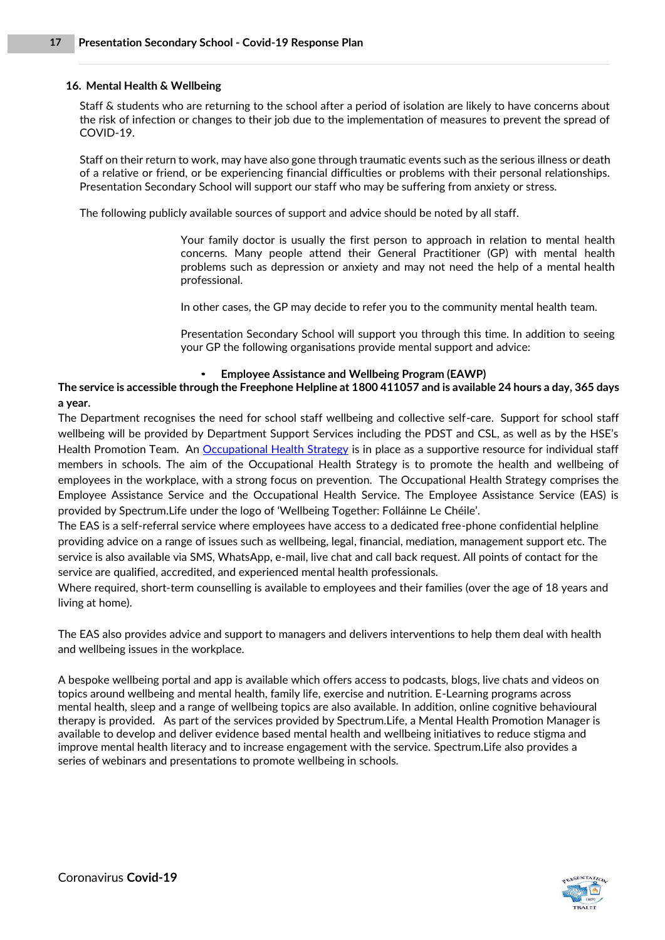#### <span id="page-16-0"></span>**16. Mental Health & Wellbeing**

Staff & students who are returning to the school after a period of isolation are likely to have concerns about the risk of infection or changes to their job due to the implementation of measures to prevent the spread of COVID-19.

Staff on their return to work, may have also gone through traumatic events such as the serious illness or death of a relative or friend, or be experiencing financial difficulties or problems with their personal relationships. Presentation Secondary School will support our staff who may be suffering from anxiety or stress.

The following publicly available sources of support and advice should be noted by all staff.

Your family doctor is usually the first person to approach in relation to mental health concerns. Many people attend their General Practitioner (GP) with mental health problems such as depression or anxiety and may not need the help of a mental health professional.

In other cases, the GP may decide to refer you to the community mental health team.

Presentation Secondary School will support you through this time. In addition to seeing your GP the following organisations provide mental support and advice:

#### • **Employee Assistance and Wellbeing Program (EAWP)**

# **The service is accessible through the Freephone Helpline at 1800 411 057 and is available 24 hours a day, 365 days a year.**

The Department recognises the need for school staff wellbeing and collective self-care. Support for school staff wellbeing will be provided by Department Support Services including the PDST and CSL, as well as by the HSE's Health Promotion Team. An [Occupational Health Strategy](https://www.education.ie/en/Education-Staff/Information/Occupational-Health-Strategy/) is in place as a supportive resource for individual staff members in schools. The aim of the Occupational Health Strategy is to promote the health and wellbeing of employees in the workplace, with a strong focus on prevention. The Occupational Health Strategy comprises the Employee Assistance Service and the Occupational Health Service. The Employee Assistance Service (EAS) is provided by Spectrum.Life under the logo of 'Wellbeing Together: Folláinne Le Chéile'.

The EAS is a self-referral service where employees have access to a dedicated free-phone confidential helpline providing advice on a range of issues such as wellbeing, legal, financial, mediation, management support etc. The service is also available via SMS, WhatsApp, e-mail, live chat and call back request. All points of contact for the service are qualified, accredited, and experienced mental health professionals.

Where required, short-term counselling is available to employees and their families (over the age of 18 years and living at home).

The EAS also provides advice and support to managers and delivers interventions to help them deal with health and wellbeing issues in the workplace.

A bespoke wellbeing portal and app is available which offers access to podcasts, blogs, live chats and videos on topics around wellbeing and mental health, family life, exercise and nutrition. E-Learning programs across mental health, sleep and a range of wellbeing topics are also available. In addition, online cognitive behavioural therapy is provided. As part of the services provided by Spectrum.Life, a Mental Health Promotion Manager is available to develop and deliver evidence based mental health and wellbeing initiatives to reduce stigma and improve mental health literacy and to increase engagement with the service. Spectrum.Life also provides a series of webinars and presentations to promote wellbeing in schools.

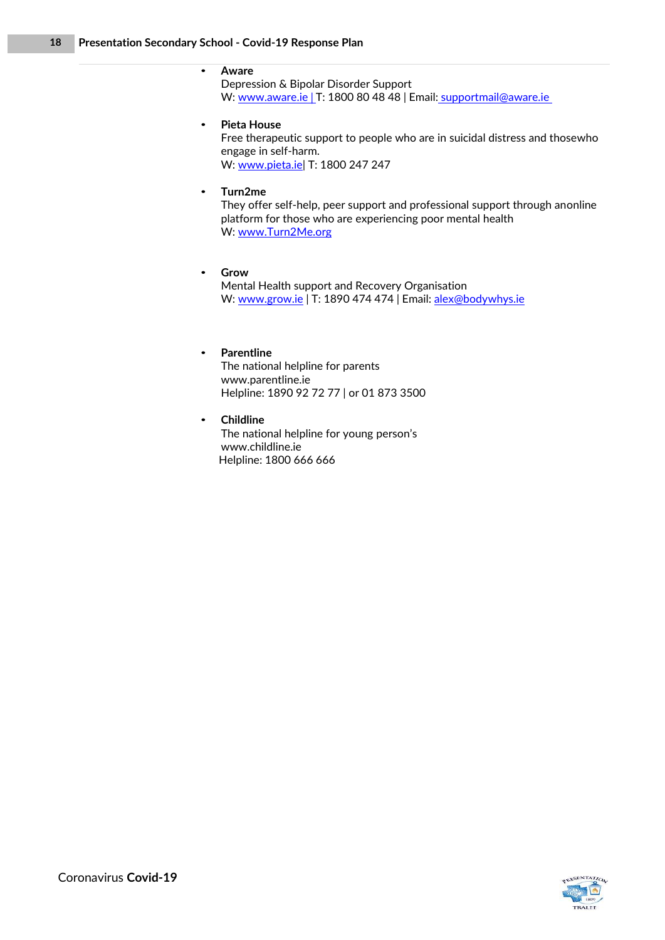#### • **Aware**

Depression & Bipolar Disorder Support W: www.aware.ie | T: 1800 80 48 48 | Email: supportmail@aware.ie

• **Pieta House** 

Free therapeutic support to people who are in suicidal distress and thosewho engage in self-harm. W: [www.pieta.ie|](http://www.pieta.ie/) T: 1800 247 247

• **Turn2me** 

They offer self-help, peer support and professional support through anonline platform for those who are experiencing poor mental health W: [www.Turn2Me.org](http://www.turn2me.org/)

• **Grow** 

Mental Health support and Recovery Organisation W: [www.grow.ie](http://www.grow.ie/) | T: 1890 474 474 | Email: alex@bodywhys.ie

• **Parentline** 

The national helpline for parents [www.parentline.ie](http://www.parentline.ie/)  Helpline: 1890 92 72 77 | or 01 873 3500

• **Childline** 

The national helpline for young person's [www.childline.ie](http://www.childline.ie/)  Helpline: 1800 666 666

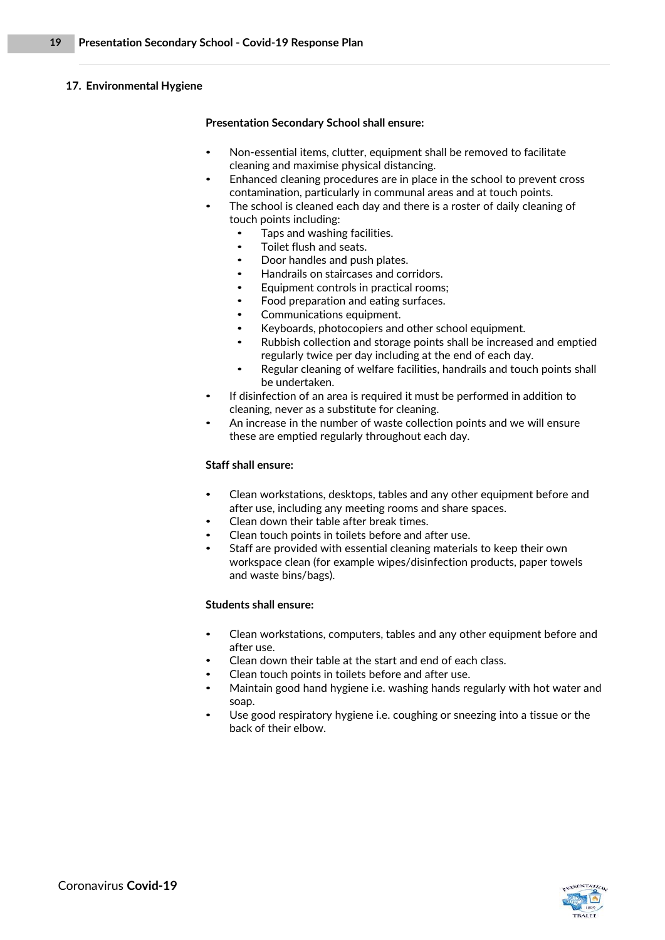# <span id="page-18-0"></span>**17. Environmental Hygiene**

# **Presentation Secondary School shall ensure:**

- Non-essential items, clutter, equipment shall be removed to facilitate cleaning and maximise physical distancing.
- Enhanced cleaning procedures are in place in the school to prevent cross contamination, particularly in communal areas and at touch points.
- The school is cleaned each day and there is a roster of daily cleaning of touch points including:
	- Taps and washing facilities.
	- Toilet flush and seats.
	- Door handles and push plates.
	- Handrails on staircases and corridors.
	- Equipment controls in practical rooms;
	- Food preparation and eating surfaces.
	- Communications equipment.
	- Keyboards, photocopiers and other school equipment.
	- Rubbish collection and storage points shall be increased and emptied regularly twice per day including at the end of each day.
	- Regular cleaning of welfare facilities, handrails and touch points shall be undertaken.
- If disinfection of an area is required it must be performed in addition to cleaning, never as a substitute for cleaning.
- An increase in the number of waste collection points and we will ensure these are emptied regularly throughout each day.

# **Staff shall ensure:**

- Clean workstations, desktops, tables and any other equipment before and after use, including any meeting rooms and share spaces.
- Clean down their table after break times.
- Clean touch points in toilets before and after use.
- Staff are provided with essential cleaning materials to keep their own workspace clean (for example wipes/disinfection products, paper towels and waste bins/bags).

#### **Students shall ensure:**

- Clean workstations, computers, tables and any other equipment before and after use.
- Clean down their table at the start and end of each class.
- Clean touch points in toilets before and after use.
- Maintain good hand hygiene i.e. washing hands regularly with hot water and soap.
- Use good respiratory hygiene i.e. coughing or sneezing into a tissue or the back of their elbow.

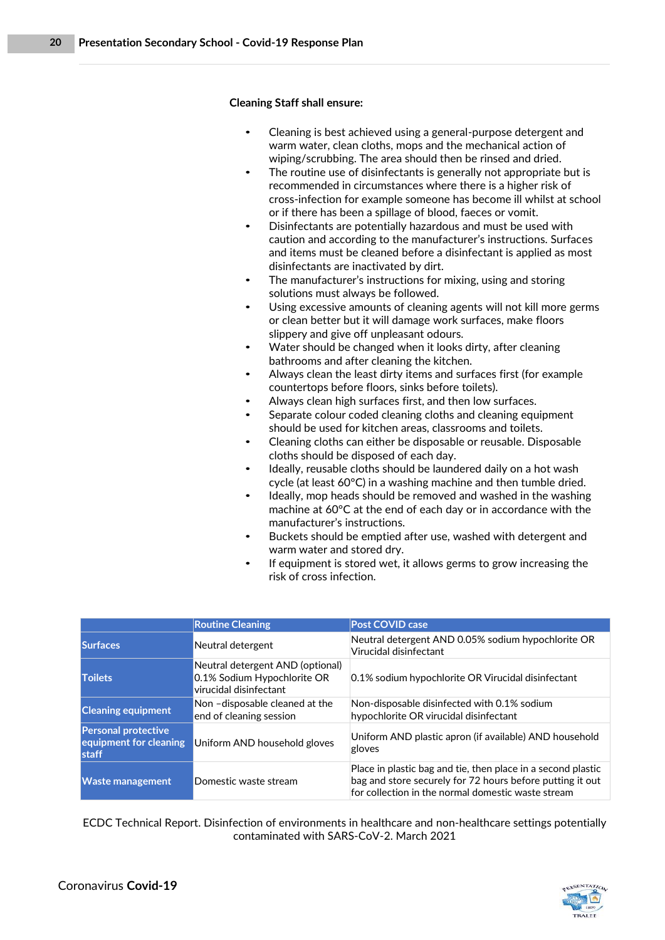#### **Cleaning Staff shall ensure:**

- Cleaning is best achieved using a general-purpose detergent and warm water, clean cloths, mops and the mechanical action of wiping/scrubbing. The area should then be rinsed and dried.
- The routine use of disinfectants is generally not appropriate but is recommended in circumstances where there is a higher risk of cross-infection for example someone has become ill whilst at school or if there has been a spillage of blood, faeces or vomit.
- Disinfectants are potentially hazardous and must be used with caution and according to the manufacturer's instructions. Surfaces and items must be cleaned before a disinfectant is applied as most disinfectants are inactivated by dirt.
- The manufacturer's instructions for mixing, using and storing solutions must always be followed.
- Using excessive amounts of cleaning agents will not kill more germs or clean better but it will damage work surfaces, make floors slippery and give off unpleasant odours.
- Water should be changed when it looks dirty, after cleaning bathrooms and after cleaning the kitchen.
- Always clean the least dirty items and surfaces first (for example countertops before floors, sinks before toilets).
- Always clean high surfaces first, and then low surfaces.
- Separate colour coded cleaning cloths and cleaning equipment should be used for kitchen areas, classrooms and toilets.
- Cleaning cloths can either be disposable or reusable. Disposable cloths should be disposed of each day.
- Ideally, reusable cloths should be laundered daily on a hot wash cycle (at least 60°C) in a washing machine and then tumble dried.
- Ideally, mop heads should be removed and washed in the washing machine at 60°C at the end of each day or in accordance with the manufacturer's instructions.
- Buckets should be emptied after use, washed with detergent and warm water and stored dry.
- If equipment is stored wet, it allows germs to grow increasing the risk of cross infection.

|                                                                      | <b>Routine Cleaning</b>                                                                   | <b>Post COVID case</b>                                                                                                                                                          |
|----------------------------------------------------------------------|-------------------------------------------------------------------------------------------|---------------------------------------------------------------------------------------------------------------------------------------------------------------------------------|
| <b>Surfaces</b>                                                      | Neutral detergent                                                                         | Neutral detergent AND 0.05% sodium hypochlorite OR<br>Virucidal disinfectant                                                                                                    |
| <b>Toilets</b>                                                       | Neutral detergent AND (optional)<br>0.1% Sodium Hypochlorite OR<br>virucidal disinfectant | 0.1% sodium hypochlorite OR Virucidal disinfectant                                                                                                                              |
| <b>Cleaning equipment</b>                                            | Non-disposable cleaned at the<br>end of cleaning session                                  | Non-disposable disinfected with 0.1% sodium<br>hypochlorite OR virucidal disinfectant                                                                                           |
| <b>Personal protective</b><br>equipment for cleaning<br><b>staff</b> | Uniform AND household gloves                                                              | Uniform AND plastic apron (if available) AND household<br>gloves                                                                                                                |
| <b>Waste management</b>                                              | Domestic waste stream                                                                     | Place in plastic bag and tie, then place in a second plastic<br>bag and store securely for 72 hours before putting it out<br>for collection in the normal domestic waste stream |

ECDC Technical Report. Disinfection of environments in healthcare and non-healthcare settings potentially contaminated with SARS-CoV-2. March 2021

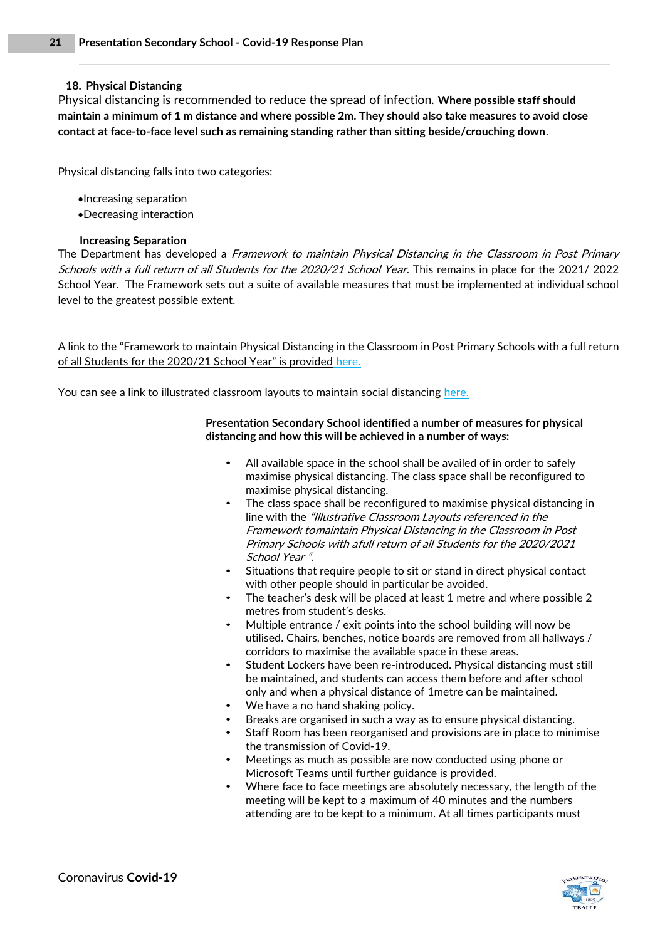# <span id="page-20-0"></span>**18. Physical Distancing**

Physical distancing is recommended to reduce the spread of infection. **Where possible staff should maintain a minimum of 1 m distance and where possible 2m. They should also take measures to avoid close contact at face-to-face level such as remaining standing rather than sitting beside/crouching down**.

Physical distancing falls into two categories:

- •Increasing separation
- •Decreasing interaction

# **Increasing Separation**

The Department has developed a *Framework to maintain Physical Distancing in the Classroom in Post Primary* Schools with a full return of all Students for the 2020/21 School Year. This remains in place for the 2021/2022 School Year. The Framework sets out a suite of available measures that must be implemented at individual school level to the greatest possible extent.

A link to the "Framework to maintain Physical Distancing in the Classroom in Post Primary Schools with a full return of all Students for the 2020/21 School Year" is provided [here.](https://assets.gov.ie/83472/ca0e3029-2d43-4e77-8181-bc3dc89455d2.pdf)

You can see a link to illustrated classroom layouts to maintain social distancing here.

# **Presentation Secondary School identified a number of measures for physical distancing and how this will be achieved in a number of ways:**

- All available space in the school shall be availed of in order to safely maximise physical distancing. The class space shall be reconfigured to maximise physical distancing.
- The class space shall be reconfigured to maximise physical distancing in line with the "Illustrative Classroom Layouts referenced in the Framework tomaintain Physical Distancing in the Classroom in Post Primary Schools with a full return of all Students for the 2020/2021 School Year ".
- Situations that require people to sit or stand in direct physical contact with other people should in particular be avoided.
- The teacher's desk will be placed at least 1 metre and where possible 2 metres from student's desks.
- Multiple entrance / exit points into the school building will now be utilised. Chairs, benches, notice boards are removed from all hallways / corridors to maximise the available space in these areas.
- Student Lockers have been re-introduced. Physical distancing must still be maintained, and students can access them before and after school only and when a physical distance of 1metre can be maintained.
- We have a no hand shaking policy.
- Breaks are organised in such a way as to ensure physical distancing.
- Staff Room has been reorganised and provisions are in place to minimise the transmission of Covid-19.
- Meetings as much as possible are now conducted using phone or Microsoft Teams until further guidance is provided.
- Where face to face meetings are absolutely necessary, the length of the meeting will be kept to a maximum of 40 minutes and the numbers attending are to be kept to a minimum. At all times participants must

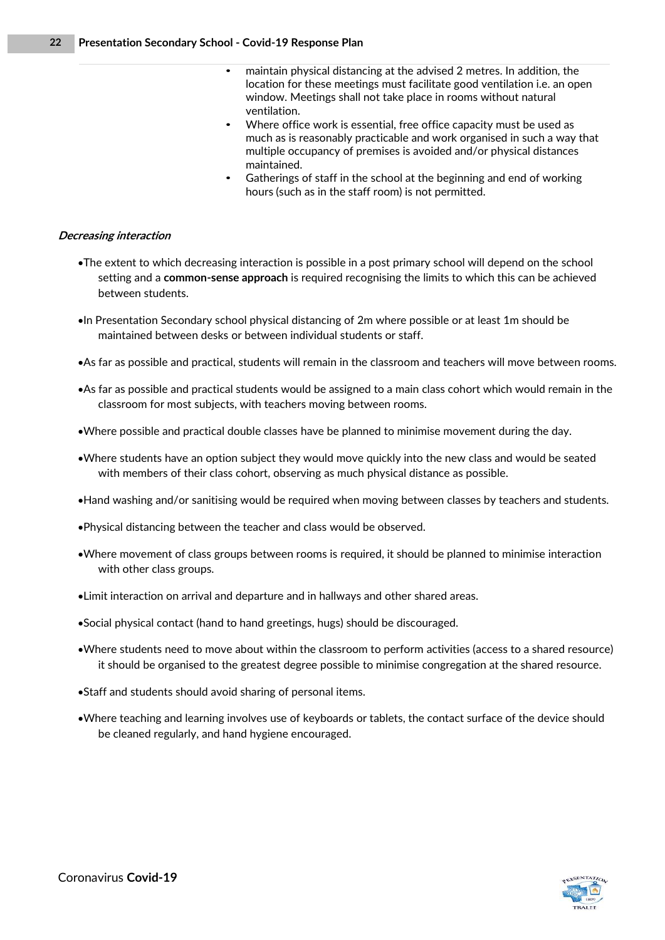- maintain physical distancing at the advised 2 metres. In addition, the location for these meetings must facilitate good ventilation i.e. an open window. Meetings shall not take place in rooms without natural ventilation.
- Where office work is essential, free office capacity must be used as much as is reasonably practicable and work organised in such a way that multiple occupancy of premises is avoided and/or physical distances maintained.
- Gatherings of staff in the school at the beginning and end of working hours (such as in the staff room) is not permitted.

# **Decreasing interaction**

- •The extent to which decreasing interaction is possible in a post primary school will depend on the school setting and a **common-sense approach** is required recognising the limits to which this can be achieved between students.
- •In Presentation Secondary school physical distancing of 2m where possible or at least 1m should be maintained between desks or between individual students or staff.
- •As far as possible and practical, students will remain in the classroom and teachers will move between rooms.
- •As far as possible and practical students would be assigned to a main class cohort which would remain in the classroom for most subjects, with teachers moving between rooms.
- •Where possible and practical double classes have be planned to minimise movement during the day.
- •Where students have an option subject they would move quickly into the new class and would be seated with members of their class cohort, observing as much physical distance as possible.
- •Hand washing and/or sanitising would be required when moving between classes by teachers and students.
- •Physical distancing between the teacher and class would be observed.
- •Where movement of class groups between rooms is required, it should be planned to minimise interaction with other class groups.
- •Limit interaction on arrival and departure and in hallways and other shared areas.
- •Social physical contact (hand to hand greetings, hugs) should be discouraged.
- •Where students need to move about within the classroom to perform activities (access to a shared resource) it should be organised to the greatest degree possible to minimise congregation at the shared resource.
- •Staff and students should avoid sharing of personal items.
- •Where teaching and learning involves use of keyboards or tablets, the contact surface of the device should be cleaned regularly, and hand hygiene encouraged.

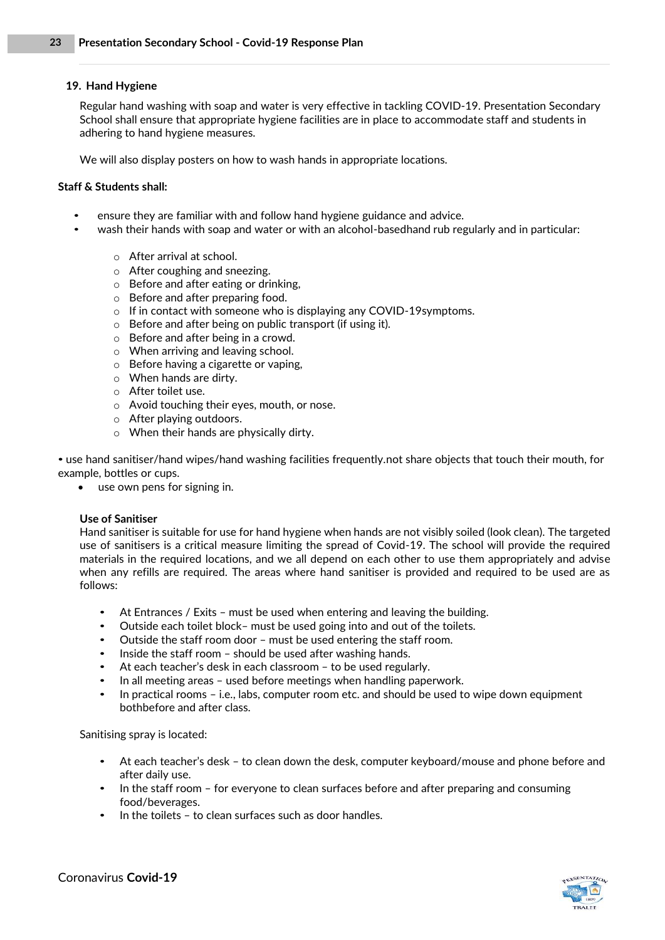# <span id="page-22-0"></span>**19. Hand Hygiene**

Regular hand washing with soap and water is very effective in tackling COVID-19. Presentation Secondary School shall ensure that appropriate hygiene facilities are in place to accommodate staff and students in adhering to hand hygiene measures.

We will also display posters on how to wash hands in appropriate locations.

#### **Staff & Students shall:**

- ensure they are familiar with and follow hand hygiene guidance and advice.
- wash their hands with soap and water or with an alcohol-based hand rub regularly and in particular:
	- o After arrival at school.
	- o After coughing and sneezing.
	- o Before and after eating or drinking,
	- o Before and after preparing food.
	- $\circ$  If in contact with someone who is displaying any COVID-19 symptoms.
	- o Before and after being on public transport (if using it).
	- o Before and after being in a crowd.
	- o When arriving and leaving school.
	- o Before having a cigarette or vaping,
	- o When hands are dirty.
	- o After toilet use.
	- o Avoid touching their eyes, mouth, or nose.
	- o After playing outdoors.
	- o When their hands are physically dirty.

• use hand sanitiser/hand wipes/hand washing facilities frequently. not share objects that touch their mouth, for example, bottles or cups.

use own pens for signing in.

# **Use of Sanitiser**

Hand sanitiser is suitable for use for hand hygiene when hands are not visibly soiled (look clean). The targeted use of sanitisers is a critical measure limiting the spread of Covid-19. The school will provide the required materials in the required locations, and we all depend on each other to use them appropriately and advise when any refills are required. The areas where hand sanitiser is provided and required to be used are as follows:

- At Entrances / Exits must be used when entering and leaving the building.
- Outside each toilet block– must be used going into and out of the toilets.
- Outside the staff room door must be used entering the staff room.
- Inside the staff room should be used after washing hands.
- At each teacher's desk in each classroom to be used regularly.
- In all meeting areas used before meetings when handling paperwork.
- In practical rooms i.e., labs, computer room etc. and should be used to wipe down equipment both before and after class.

Sanitising spray is located:

- At each teacher's desk to clean down the desk, computer keyboard/mouse and phone before and after daily use.
- In the staff room for everyone to clean surfaces before and after preparing and consuming food/beverages.
- In the toilets to clean surfaces such as door handles.

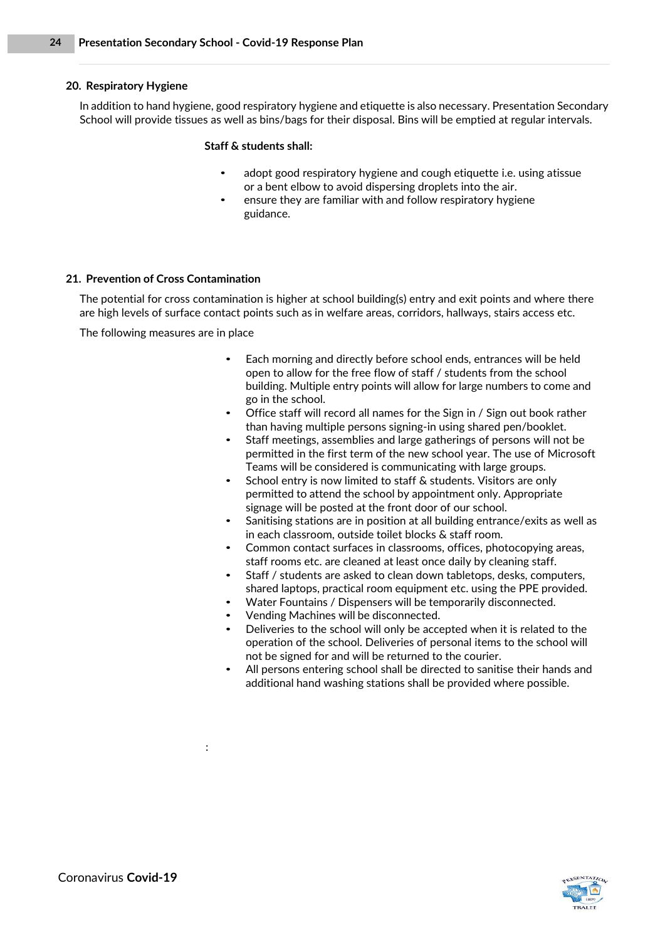#### <span id="page-23-0"></span>**20. Respiratory Hygiene**

In addition to hand hygiene, good respiratory hygiene and etiquette is also necessary. Presentation Secondary School will provide tissues as well as bins/bags for their disposal. Bins will be emptied at regular intervals.

#### **Staff & students shall:**

- adopt good respiratory hygiene and cough etiquette i.e. using atissue or a bent elbow to avoid dispersing droplets into the air.
- ensure they are familiar with and follow respiratory hygiene guidance.

#### <span id="page-23-1"></span>**21. Prevention of Cross Contamination**

The potential for cross contamination is higher at school building(s) entry and exit points and where there are high levels of surface contact points such as in welfare areas, corridors, hallways, stairs access etc.

The following measures are in place

- Each morning and directly before school ends, entrances will be held open to allow for the free flow of staff / students from the school building. Multiple entry points will allow for large numbers to come and go in the school.
- Office staff will record all names for the Sign in / Sign out book rather than having multiple persons signing-in using shared pen/booklet.
- Staff meetings, assemblies and large gatherings of persons will not be permitted in the first term of the new school year. The use of Microsoft Teams will be considered is communicating with large groups.
- School entry is now limited to staff & students. Visitors are only permitted to attend the school by appointment only. Appropriate signage will be posted at the front door of our school.
- Sanitising stations are in position at all building entrance/exits as well as in each classroom, outside toilet blocks & staff room.
- Common contact surfaces in classrooms, offices, photocopying areas, staff rooms etc. are cleaned at least once daily by cleaning staff.
- Staff / students are asked to clean down tabletops, desks, computers, shared laptops, practical room equipment etc. using the PPE provided.
- Water Fountains / Dispensers will be temporarily disconnected.
- Vending Machines will be disconnected.
- Deliveries to the school will only be accepted when it is related to the operation of the school. Deliveries of personal items to the school will not be signed for and will be returned to the courier.
- All persons entering school shall be directed to sanitise their hands and additional hand washing stations shall be provided where possible.



: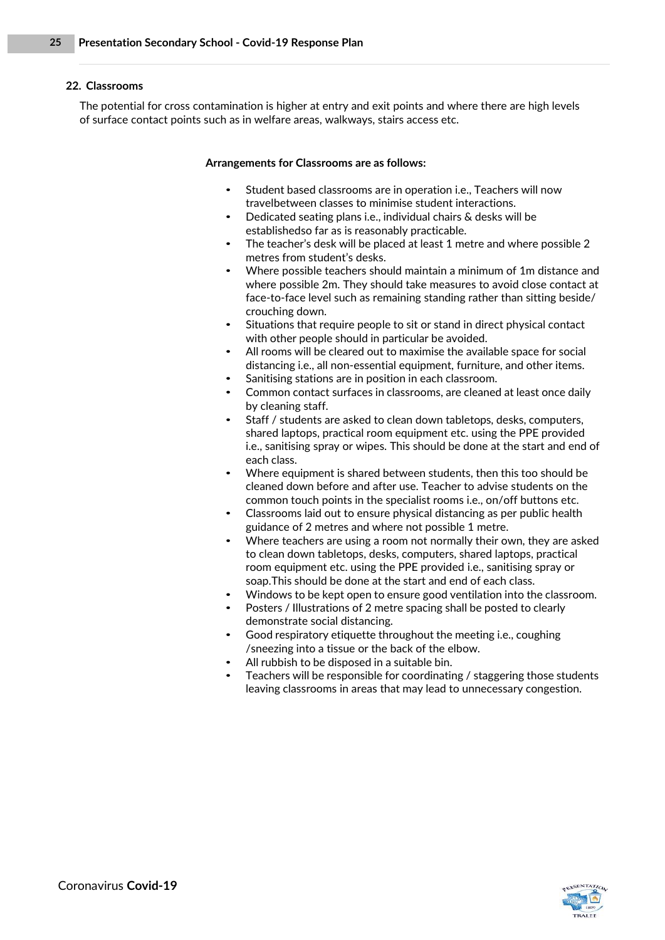# <span id="page-24-0"></span>**22. Classrooms**

The potential for cross contamination is higher at entry and exit points and where there are high levels of surface contact points such as in welfare areas, walkways, stairs access etc.

#### **Arrangements for Classrooms are as follows:**

- Student based classrooms are in operation i.e., Teachers will now travelbetween classes to minimise student interactions.
- Dedicated seating plans i.e., individual chairs & desks will be established so far as is reasonably practicable.
- The teacher's desk will be placed at least 1 metre and where possible 2 metres from student's desks.
- Where possible teachers should maintain a minimum of 1m distance and where possible 2m. They should take measures to avoid close contact at face-to-face level such as remaining standing rather than sitting beside/ crouching down.
- Situations that require people to sit or stand in direct physical contact with other people should in particular be avoided.
- All rooms will be cleared out to maximise the available space for social distancing i.e., all non-essential equipment, furniture, and other items.
- Sanitising stations are in position in each classroom.
- Common contact surfaces in classrooms, are cleaned at least once daily by cleaning staff.
- Staff / students are asked to clean down tabletops, desks, computers, shared laptops, practical room equipment etc. using the PPE provided i.e., sanitising spray or wipes. This should be done at the start and end of each class.
- Where equipment is shared between students, then this too should be cleaned down before and after use. Teacher to advise students on the common touch points in the specialist rooms i.e., on/off buttons etc.
- Classrooms laid out to ensure physical distancing as per public health guidance of 2 metres and where not possible 1 metre.
- Where teachers are using a room not normally their own, they are asked to clean down tabletops, desks, computers, shared laptops, practical room equipment etc. using the PPE provided i.e., sanitising spray or soap. This should be done at the start and end of each class.
- Windows to be kept open to ensure good ventilation into the classroom.
- Posters / Illustrations of 2 metre spacing shall be posted to clearly demonstrate social distancing.
- Good respiratory etiquette throughout the meeting i.e., coughing / sneezing into a tissue or the back of the elbow.
- All rubbish to be disposed in a suitable bin.
- Teachers will be responsible for coordinating / staggering those students leaving classrooms in areas that may lead to unnecessary congestion.

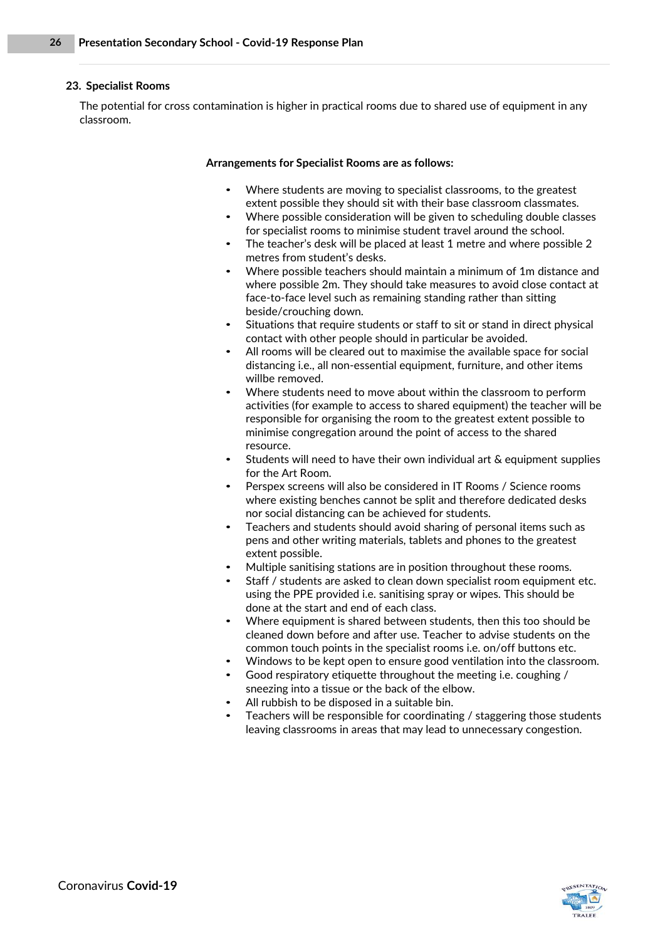# <span id="page-25-0"></span>**23. Specialist Rooms**

The potential for cross contamination is higher in practical rooms due to shared use of equipment in any classroom.

#### **Arrangements for Specialist Rooms are as follows:**

- Where students are moving to specialist classrooms, to the greatest extent possible they should sit with their base classroom classmates.
- Where possible consideration will be given to scheduling double classes for specialist rooms to minimise student travel around the school.
- The teacher's desk will be placed at least 1 metre and where possible 2 metres from student's desks.
- Where possible teachers should maintain a minimum of 1m distance and where possible 2m. They should take measures to avoid close contact at face-to-face level such as remaining standing rather than sitting beside/crouching down.
- Situations that require students or staff to sit or stand in direct physical contact with other people should in particular be avoided.
- All rooms will be cleared out to maximise the available space for social distancing i.e., all non-essential equipment, furniture, and other items willbe removed.
- Where students need to move about within the classroom to perform activities (for example to access to shared equipment) the teacher will be responsible for organising the room to the greatest extent possible to minimise congregation around the point of access to the shared resource.
- Students will need to have their own individual art & equipment supplies for the Art Room.
- Perspex screens will also be considered in IT Rooms / Science rooms where existing benches cannot be split and therefore dedicated desks nor social distancing can be achieved for students.
- Teachers and students should avoid sharing of personal items such as pens and other writing materials, tablets and phones to the greatest extent possible.
- Multiple sanitising stations are in position throughout these rooms.
- Staff / students are asked to clean down specialist room equipment etc. using the PPE provided i.e. sanitising spray or wipes. This should be done at the start and end of each class.
- Where equipment is shared between students, then this too should be cleaned down before and after use. Teacher to advise students on the common touch points in the specialist rooms i.e. on/off buttons etc.
- Windows to be kept open to ensure good ventilation into the classroom.
- Good respiratory etiquette throughout the meeting i.e. coughing / sneezing into a tissue or the back of the elbow.
- All rubbish to be disposed in a suitable bin.
- Teachers will be responsible for coordinating / staggering those students leaving classrooms in areas that may lead to unnecessary congestion.

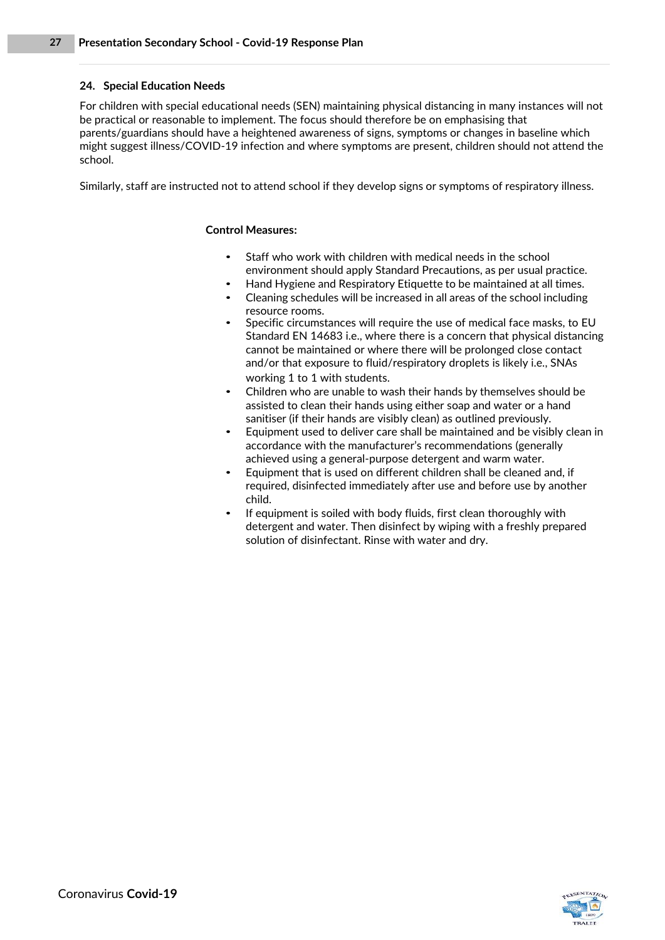# <span id="page-26-0"></span>**24. Special Education Needs**

For children with special educational needs (SEN) maintaining physical distancing in many instances will not be practical or reasonable to implement. The focus should therefore be on emphasising that parents/guardians should have a heightened awareness of signs, symptoms or changes in baseline which might suggest illness/COVID-19 infection and where symptoms are present, children should not attend the school.

Similarly, staff are instructed not to attend school if they develop signs or symptoms of respiratory illness.

#### **Control Measures:**

- Staff who work with children with medical needs in the school environment should apply Standard Precautions, as per usual practice.
- Hand Hygiene and Respiratory Etiquette to be maintained at all times.
- Cleaning schedules will be increased in all areas of the school including resource rooms.
- Specific circumstances will require the use of medical face masks, to EU Standard EN 14683 i.e., where there is a concern that physical distancing cannot be maintained or where there will be prolonged close contact and/or that exposure to fluid/respiratory droplets is likely i.e., SNAs working 1 to 1 with students.
- Children who are unable to wash their hands by themselves should be assisted to clean their hands using either soap and water or a hand sanitiser (if their hands are visibly clean) as outlined previously.
- Equipment used to deliver care shall be maintained and be visibly clean in accordance with the manufacturer's recommendations (generally achieved using a general-purpose detergent and warm water.
- Equipment that is used on different children shall be cleaned and, if required, disinfected immediately after use and before use by another child.
- If equipment is soiled with body fluids, first clean thoroughly with detergent and water. Then disinfect by wiping with a freshly prepared solution of disinfectant. Rinse with water and dry.

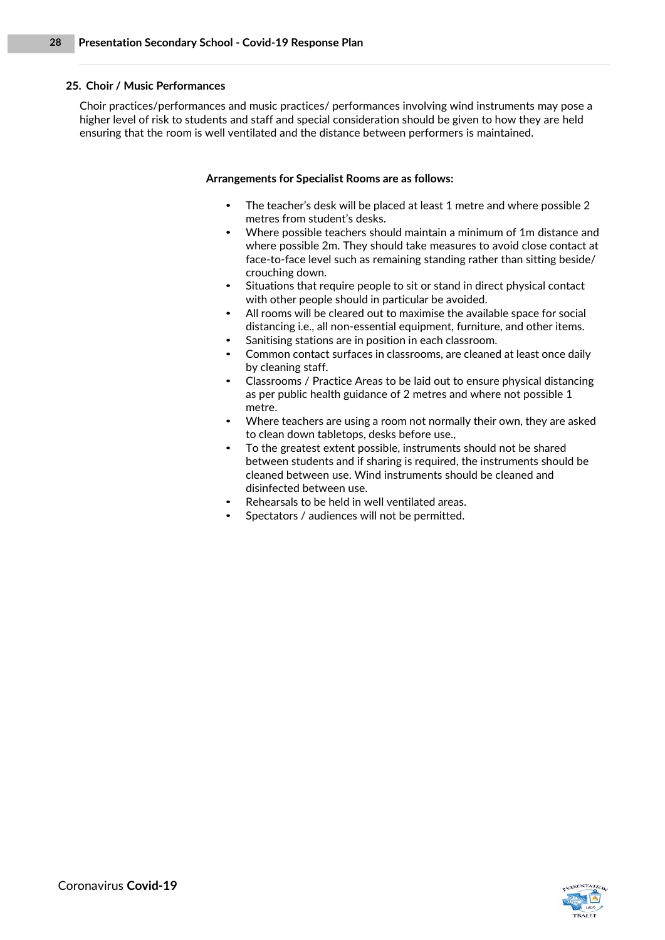# <span id="page-27-0"></span>**25. Choir / Music Performances**

Choir practices/performances and music practices/ performances involving wind instruments may pose a higher level of risk to students and staff and special consideration should be given to how they are held ensuring that the room is well ventilated and the distance between performers is maintained.

#### **Arrangements for Specialist Rooms are as follows:**

- The teacher's desk will be placed at least 1 metre and where possible 2 metres from student's desks.
- Where possible teachers should maintain a minimum of 1m distance and where possible 2m. They should take measures to avoid close contact at face-to-face level such as remaining standing rather than sitting beside/ crouching down.
- Situations that require people to sit or stand in direct physical contact with other people should in particular be avoided.
- All rooms will be cleared out to maximise the available space for social distancing i.e., all non-essential equipment, furniture, and other items.
- Sanitising stations are in position in each classroom.
- Common contact surfaces in classrooms, are cleaned at least once daily by cleaning staff.
- Classrooms / Practice Areas to be laid out to ensure physical distancing as per public health guidance of 2 metres and where not possible 1 metre.
- Where teachers are using a room not normally their own, they are asked to clean down tabletops, desks before use.,
- To the greatest extent possible, instruments should not be shared between students and if sharing is required, the instruments should be cleaned between use. Wind instruments should be cleaned and disinfected between use.
- Rehearsals to be held in well ventilated areas.
- Spectators / audiences will not be permitted.

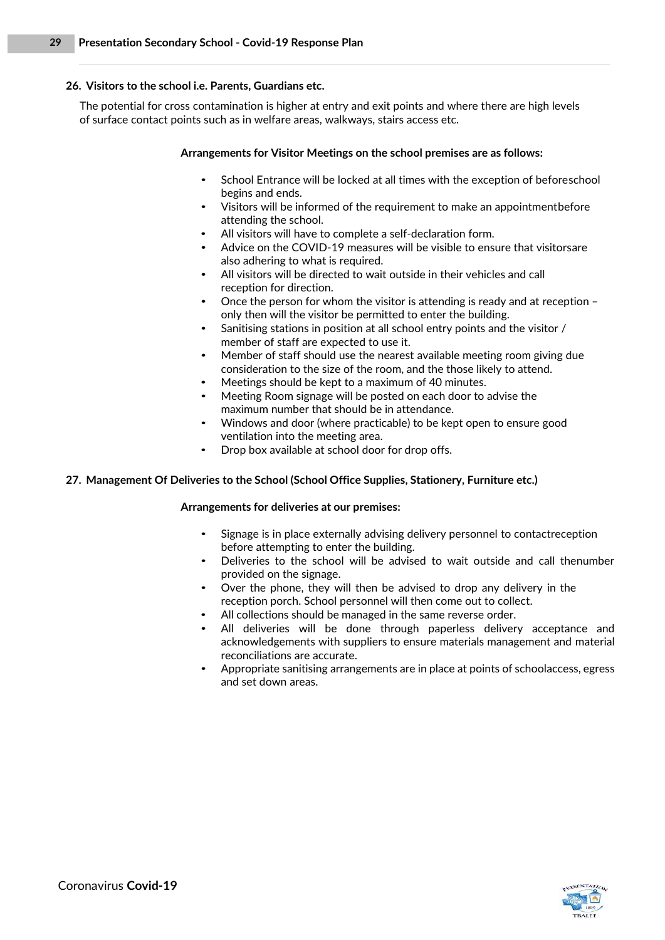# <span id="page-28-0"></span>**26. Visitors to the school i.e. Parents, Guardians etc.**

The potential for cross contamination is higher at entry and exit points and where there are high levels of surface contact points such as in welfare areas, walkways, stairs access etc.

# **Arrangements for Visitor Meetings on the school premises are as follows:**

- School Entrance will be locked at all times with the exception of before school begins and ends.
- Visitors will be informed of the requirement to make an appointment before attending the school.
- All visitors will have to complete a self-declaration form.
- Advice on the COVID-19 measures will be visible to ensure that visitors are also adhering to what is required.
- All visitors will be directed to wait outside in their vehicles and call reception for direction.
- Once the person for whom the visitor is attending is ready and at reception only then will the visitor be permitted to enter the building.
- Sanitising stations in position at all school entry points and the visitor / member of staff are expected to use it.
- Member of staff should use the nearest available meeting room giving due consideration to the size of the room, and the those likely to attend.
- Meetings should be kept to a maximum of 40 minutes.
- Meeting Room signage will be posted on each door to advise the maximum number that should be in attendance.
- Windows and door (where practicable) to be kept open to ensure good ventilation into the meeting area.
- Drop box available at school door for drop offs.

# <span id="page-28-1"></span>**27. Management Of Deliveries to the School (School Office Supplies, Stationery, Furniture etc.)**

#### **Arrangements for deliveries at our premises:**

- Signage is in place externally advising delivery personnel to contactreception before attempting to enter the building.
- Deliveries to the school will be advised to wait outside and call thenumber provided on the signage.
- Over the phone, they will then be advised to drop any delivery in the reception porch. School personnel will then come out to collect.
- All collections should be managed in the same reverse order.
- All deliveries will be done through paperless delivery acceptance and acknowledgements with suppliers to ensure materials management and material reconciliations are accurate.
- Appropriate sanitising arrangements are in place at points of schoolaccess, egress and set down areas.

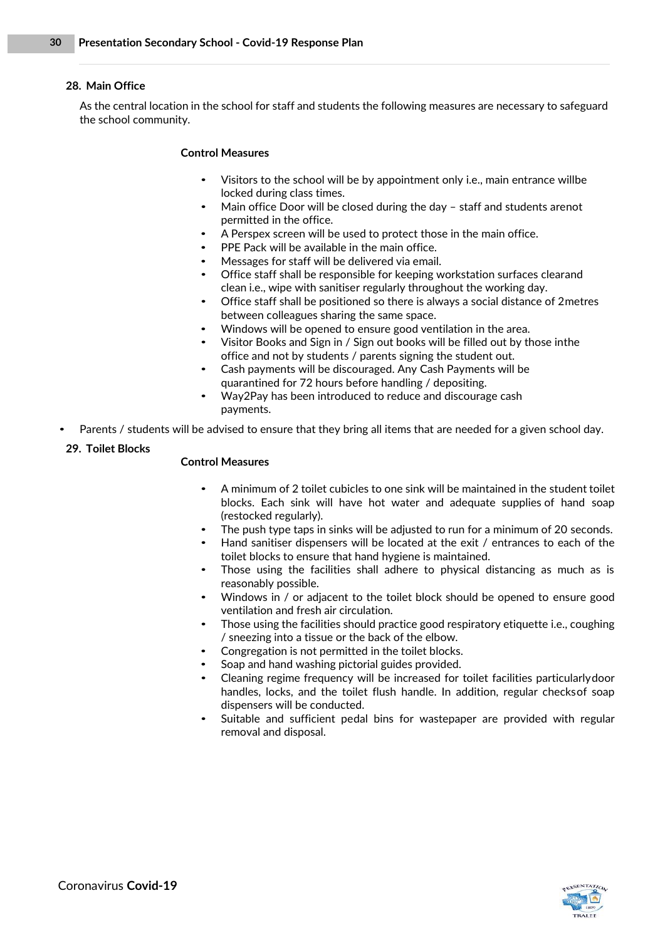# <span id="page-29-0"></span>**28. Main Office**

As the central location in the school for staff and students the following measures are necessary to safeguard the school community.

#### **Control Measures**

- Visitors to the school will be by appointment only i.e., main entrance will be locked during class times.
- Main office Door will be closed during the day staff and students arenot permitted in the office.
- A Perspex screen will be used to protect those in the main office.
- PPE Pack will be available in the main office.
- Messages for staff will be delivered via email.
- Office staff shall be responsible for keeping workstation surfaces clearand clean i.e., wipe with sanitiser regularly throughout the working day.
- Office staff shall be positioned so there is always a social distance of 2 metres between colleagues sharing the same space.
- Windows will be opened to ensure good ventilation in the area.
- Visitor Books and Sign in / Sign out books will be filled out by those inthe office and not by students / parents signing the student out.
- Cash payments will be discouraged. Any Cash Payments will be quarantined for 72 hours before handling / depositing.
- Way2Pay has been introduced to reduce and discourage cash payments.
- Parents / students will be advised to ensure that they bring all items that are needed for a given school day.

#### <span id="page-29-1"></span>**29. Toilet Blocks**

# **Control Measures**

- A minimum of 2 toilet cubicles to one sink will be maintained in the student toilet blocks. Each sink will have hot water and adequate supplies of hand soap (restocked regularly).
- The push type taps in sinks will be adjusted to run for a minimum of 20 seconds.
- Hand sanitiser dispensers will be located at the exit / entrances to each of the toilet blocks to ensure that hand hygiene is maintained.
- Those using the facilities shall adhere to physical distancing as much as is reasonably possible.
- Windows in / or adjacent to the toilet block should be opened to ensure good ventilation and fresh air circulation.
- Those using the facilities should practice good respiratory etiquette i.e., coughing / sneezing into a tissue or the back of the elbow.
- Congregation is not permitted in the toilet blocks.
- Soap and hand washing pictorial guides provided.
- Cleaning regime frequency will be increased for toilet facilities particularly door handles, locks, and the toilet flush handle. In addition, regular checks of soap dispensers will be conducted.
- Suitable and sufficient pedal bins for wastepaper are provided with regular removal and disposal.

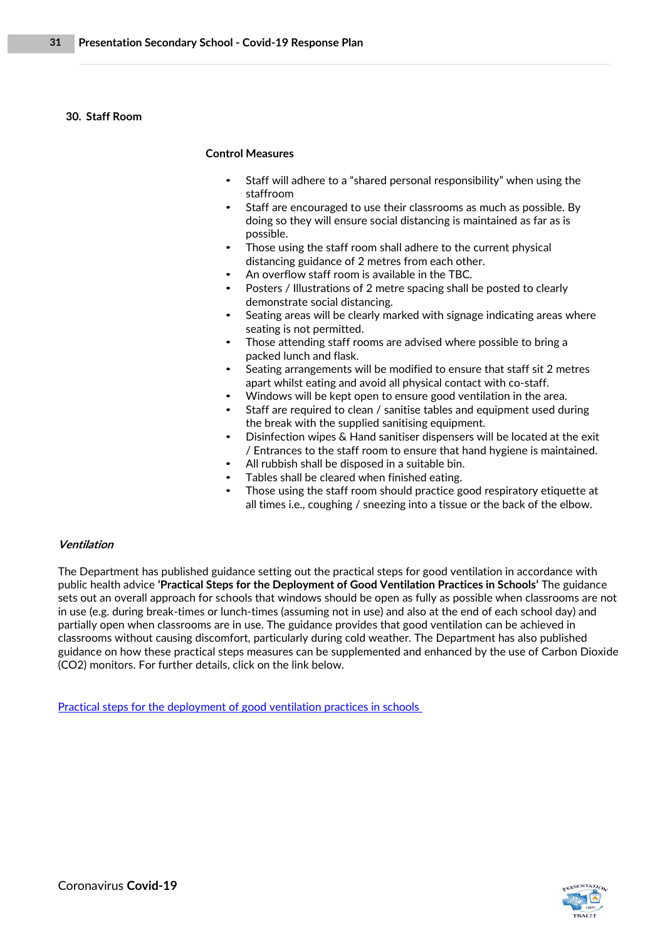# <span id="page-30-0"></span>**30. Staff Room**

#### **Control Measures**

- Staff will adhere to a "shared personal responsibility" when using the staffroom
- Staff are encouraged to use their classrooms as much as possible. By doing so they will ensure social distancing is maintained as far as is possible.
- Those using the staff room shall adhere to the current physical distancing guidance of 2 metres from each other.
- An overflow staff room is available in the TBC.
- Posters / Illustrations of 2 metre spacing shall be posted to clearly demonstrate social distancing.
- Seating areas will be clearly marked with signage indicating areas where seating is not permitted.
- Those attending staff rooms are advised where possible to bring a packed lunch and flask.
- Seating arrangements will be modified to ensure that staff sit 2 metres apart whilst eating and avoid all physical contact with co-staff.
- Windows will be kept open to ensure good ventilation in the area.
- Staff are required to clean / sanitise tables and equipment used during the break with the supplied sanitising equipment.
- Disinfection wipes & Hand sanitiser dispensers will be located at the exit / Entrances to the staff room to ensure that hand hygiene is maintained.
- All rubbish shall be disposed in a suitable bin.
- Tables shall be cleared when finished eating.
- Those using the staff room should practice good respiratory etiquette at all times i.e., coughing / sneezing into a tissue or the back of the elbow.

#### **Ventilation**

The Department has published guidance setting out the practical steps for good ventilation in accordance with public health advice **'Practical Steps for the Deployment of Good Ventilation Practices in Schools'** The guidance sets out an overall approach for schools that windows should be open as fully as possible when classrooms are not in use (e.g. during break-times or lunch-times (assuming not in use) and also at the end of each school day) and partially open when classrooms are in use. The guidance provides that good ventilation can be achieved in classrooms without causing discomfort, particularly during cold weather. The Department has also published guidance on how these practical steps measures can be supplemented and enhanced by the use of Carbon Dioxide (CO2) monitors. For further details, click on the link below.

[Practical steps for the deployment of good ventilation practices in schools](https://www.google.ie/search?q=practical+steps+for+the+deployment+of+good+ventilation+practices+in+schools&source=hp&ei=4hVCYezKG43WgQaDlruoA) 

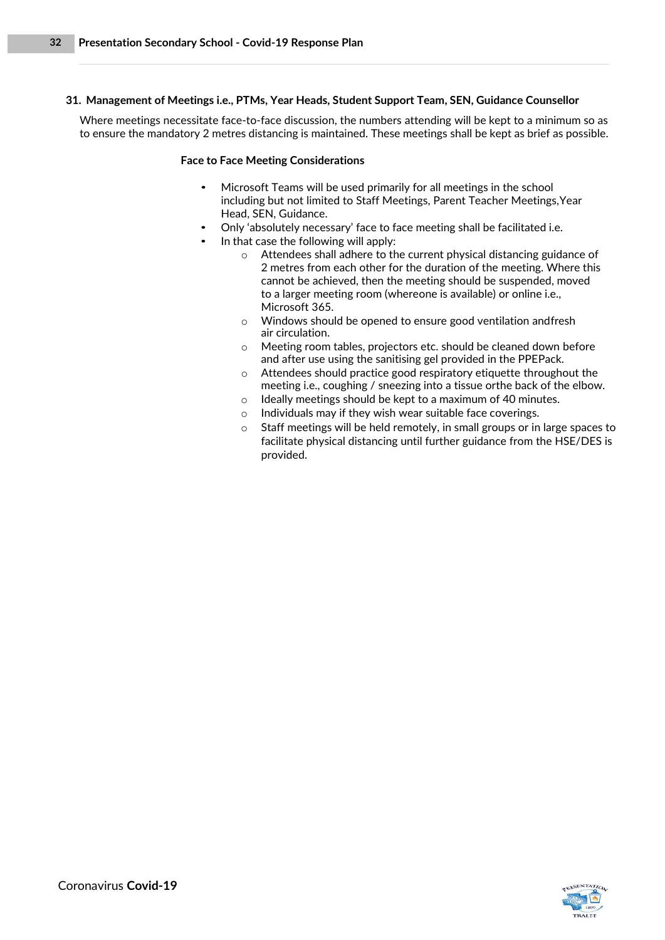# <span id="page-31-0"></span>**31. Management of Meetings i.e., PTMs, Year Heads, Student Support Team, SEN, Guidance Counsellor**

Where meetings necessitate face-to-face discussion, the numbers attending will be kept to a minimum so as to ensure the mandatory 2 metres distancing is maintained. These meetings shall be kept as brief as possible.

#### **Face to Face Meeting Considerations**

- Microsoft Teams will be used primarily for all meetings in the school including but not limited to Staff Meetings, Parent Teacher Meetings, Year Head, SEN, Guidance.
- Only 'absolutely necessary' face to face meeting shall be facilitated i.e.
- In that case the following will apply:
	- o Attendees shall adhere to the current physical distancing guidance of 2 metres from each other for the duration of the meeting. Where this cannot be achieved, then the meeting should be suspended, moved to a larger meeting room (whereone is available) or online i.e., Microsoft 365.
	- o Windows should be opened to ensure good ventilation and fresh air circulation.
	- o Meeting room tables, projectors etc. should be cleaned down before and after use using the sanitising gel provided in the PPEPack.
	- o Attendees should practice good respiratory etiquette throughout the meeting i.e., coughing / sneezing into a tissue orthe back of the elbow.
	- o Ideally meetings should be kept to a maximum of 40 minutes.
	- o Individuals may if they wish wear suitable face coverings.
	- o Staff meetings will be held remotely, in small groups or in large spaces to facilitate physical distancing until further guidance from the HSE/DES is provided.

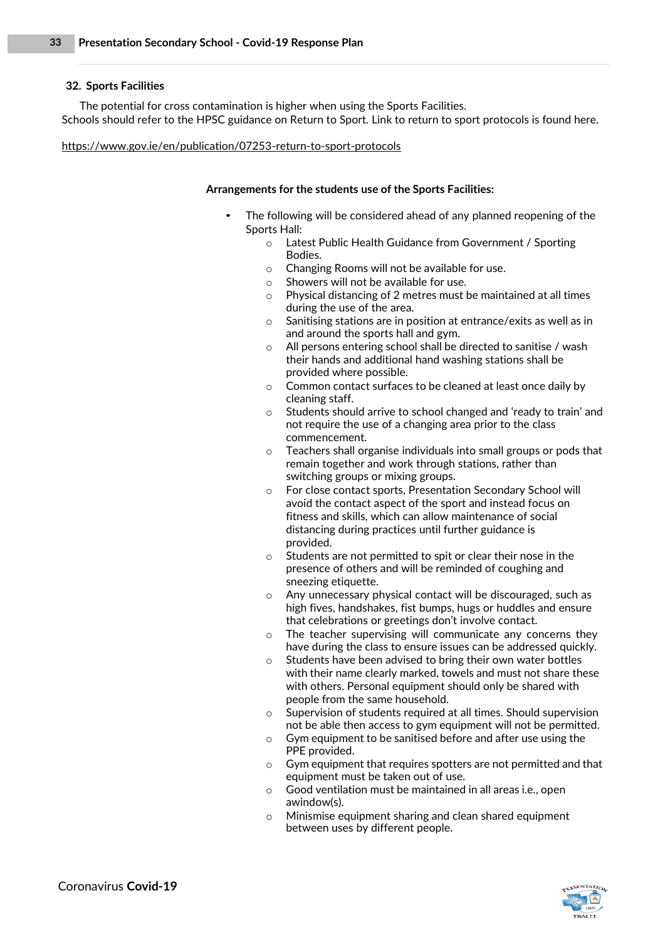#### <span id="page-32-0"></span>**32. Sports Facilities**

The potential for cross contamination is higher when using the Sports Facilities. Schools should refer to the HPSC guidance on Return to Sport. Link to return to sport protocols is found here.

#### [https://www.gov.ie/en/publication/07253-return-to-sport-protocols](https://www.gov.ie/en/publication/07253-return-to-sport-protocols/)

#### **Arrangements for the students use of the Sports Facilities:**

- The following will be considered ahead of any planned reopening of the Sports Hall:
	- o Latest Public Health Guidance from Government / Sporting Bodies.
	- o Changing Rooms will not be available for use.
	- o Showers will not be available for use.
	- o Physical distancing of 2 metres must be maintained at all times during the use of the area.
	- o Sanitising stations are in position at entrance/exits as well as in and around the sports hall and gym.
	- o All persons entering school shall be directed to sanitise / wash their hands and additional hand washing stations shall be provided where possible.
	- o Common contact surfaces to be cleaned at least once daily by cleaning staff.
	- o Students should arrive to school changed and 'ready to train' and not require the use of a changing area prior to the class commencement.
	- o Teachers shall organise individuals into small groups or pods that remain together and work through stations, rather than switching groups or mixing groups.
	- o For close contact sports, Presentation Secondary School will avoid the contact aspect of the sport and instead focus on fitness and skills, which can allow maintenance of social distancing during practices until further guidance is provided.
	- o Students are not permitted to spit or clear their nose in the presence of others and will be reminded of coughing and sneezing etiquette.
	- o Any unnecessary physical contact will be discouraged, such as high fives, handshakes, fist bumps, hugs or huddles and ensure that celebrations or greetings don't involve contact.
	- o The teacher supervising will communicate any concerns they have during the class to ensure issues can be addressed quickly.
	- o Students have been advised to bring their own water bottles with their name clearly marked, towels and must not share these with others. Personal equipment should only be shared with people from the same household.
	- o Supervision of students required at all times. Should supervision not be able then access to gym equipment will not be permitted.
	- o Gym equipment to be sanitised before and after use using the PPE provided.
	- o Gym equipment that requires spotters are not permitted and that equipment must be taken out of use.
	- o Good ventilation must be maintained in all areas i.e., open awindow(s).
	- o Minismise equipment sharing and clean shared equipment between uses by different people.

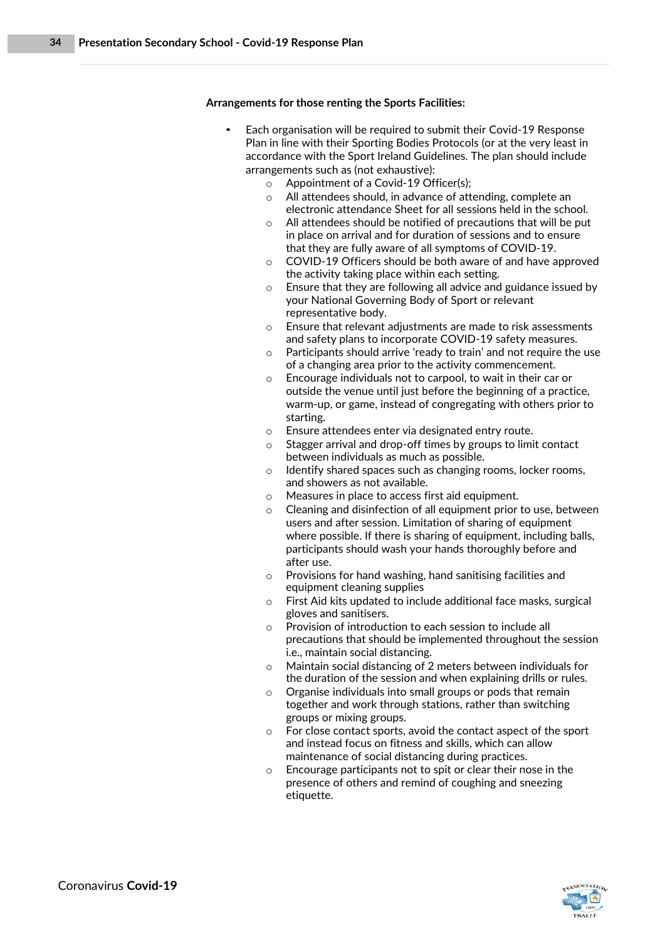#### **Arrangements for those renting the Sports Facilities:**

- Each organisation will be required to submit their Covid-19 Response Plan in line with their Sporting Bodies Protocols (or at the very least in accordance with the Sport Ireland Guidelines. The plan should include arrangements such as (not exhaustive):
	- o Appointment of a Covid-19 Officer(s);
	- o All attendees should, in advance of attending, complete an electronic attendance Sheet for all sessions held in the school.
	- o All attendees should be notified of precautions that will be put in place on arrival and for duration of sessions and to ensure that they are fully aware of all symptoms of COVID-19.
	- o COVID-19 Officers should be both aware of and have approved the activity taking place within each setting.
	- o Ensure that they are following all advice and guidance issued by your National Governing Body of Sport or relevant representative body.
	- o Ensure that relevant adjustments are made to risk assessments and safety plans to incorporate COVID-19 safety measures.
	- o Participants should arrive 'ready to train' and not require the use of a changing area prior to the activity commencement.
	- o Encourage individuals not to carpool, to wait in their car or outside the venue until just before the beginning of a practice, warm-up, or game, instead of congregating with others prior to starting.
	- o Ensure attendees enter via designated entry route.
	- Stagger arrival and drop-off times by groups to limit contact between individuals as much as possible.
	- o Identify shared spaces such as changing rooms, locker rooms, and showers as not available.
	- o Measures in place to access first aid equipment.
	- o Cleaning and disinfection of all equipment prior to use, between users and after session. Limitation of sharing of equipment where possible. If there is sharing of equipment, including balls, participants should wash your hands thoroughly before and after use.
	- o Provisions for hand washing, hand sanitising facilities and equipment cleaning supplies
	- o First Aid kits updated to include additional face masks, surgical gloves and sanitisers.
	- o Provision of introduction to each session to include all precautions that should be implemented throughout the session i.e., maintain social distancing.
	- o Maintain social distancing of 2 meters between individuals for the duration of the session and when explaining drills or rules.
	- o Organise individuals into small groups or pods that remain together and work through stations, rather than switching groups or mixing groups.
	- o For close contact sports, avoid the contact aspect of the sport and instead focus on fitness and skills, which can allow maintenance of social distancing during practices.
	- o Encourage participants not to spit or clear their nose in the presence of others and remind of coughing and sneezing etiquette.

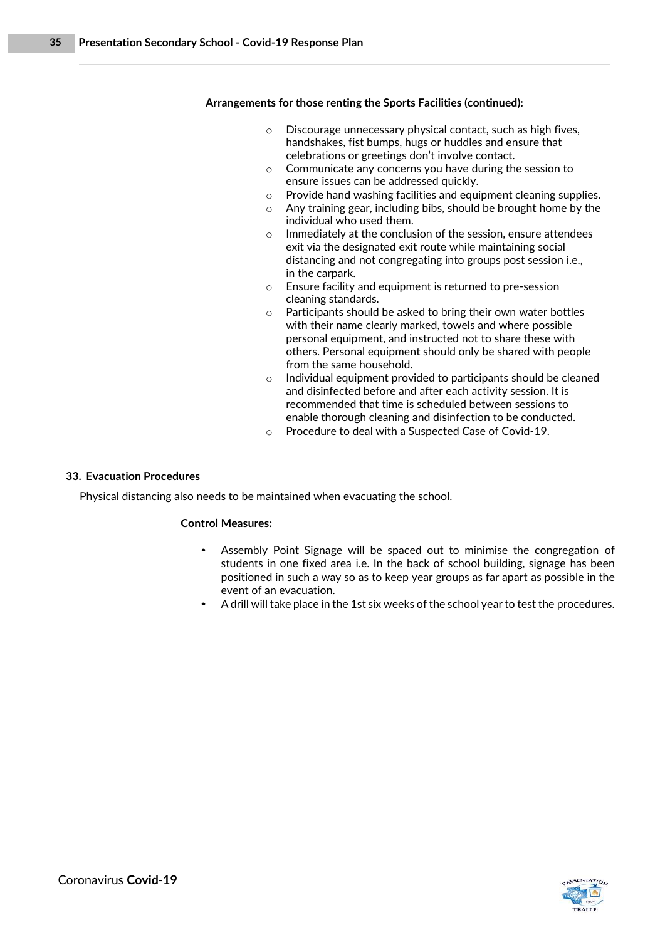# **Arrangements for those renting the Sports Facilities (continued):**

- o Discourage unnecessary physical contact, such as high fives, handshakes, fist bumps, hugs or huddles and ensure that celebrations or greetings don't involve contact.
- o Communicate any concerns you have during the session to ensure issues can be addressed quickly.
- o Provide hand washing facilities and equipment cleaning supplies.
- o Any training gear, including bibs, should be brought home by the individual who used them.
- o Immediately at the conclusion of the session, ensure attendees exit via the designated exit route while maintaining social distancing and not congregating into groups post session i.e., in the carpark.
- o Ensure facility and equipment is returned to pre-session cleaning standards.
- o Participants should be asked to bring their own water bottles with their name clearly marked, towels and where possible personal equipment, and instructed not to share these with others. Personal equipment should only be shared with people from the same household.
- o Individual equipment provided to participants should be cleaned and disinfected before and after each activity session. It is recommended that time is scheduled between sessions to enable thorough cleaning and disinfection to be conducted.
- o Procedure to deal with a Suspected Case of Covid-19.

#### <span id="page-34-0"></span>**33. Evacuation Procedures**

Physical distancing also needs to be maintained when evacuating the school.

#### **Control Measures:**

- Assembly Point Signage will be spaced out to minimise the congregation of students in one fixed area i.e. In the back of school building, signage has been positioned in such a way so as to keep year groups as far apart as possible in the event of an evacuation.
- A drill will take place in the 1st six weeks of the school year to test the procedures.

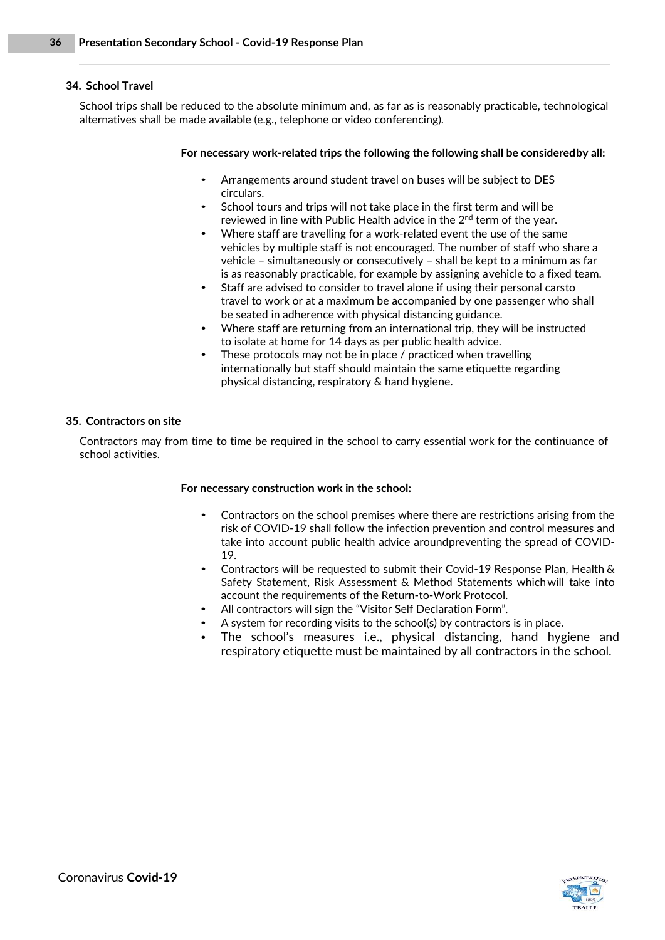# <span id="page-35-0"></span>**34. School Travel**

School trips shall be reduced to the absolute minimum and, as far as is reasonably practicable, technological alternatives shall be made available (e.g., telephone or video conferencing).

#### For necessary work-related trips the following the following shall be considered by all:

- Arrangements around student travel on buses will be subject to DES circulars.
- School tours and trips will not take place in the first term and will be reviewed in line with Public Health advice in the 2<sup>nd</sup> term of the year.
- Where staff are travelling for a work-related event the use of the same vehicles by multiple staff is not encouraged. The number of staff who share a vehicle – simultaneously or consecutively – shall be kept to a minimum as far is as reasonably practicable, for example by assigning a vehicle to a fixed team.
- Staff are advised to consider to travel alone if using their personal carsto travel to work or at a maximum be accompanied by one passenger who shall be seated in adherence with physical distancing guidance.
- Where staff are returning from an international trip, they will be instructed to isolate at home for 14 days as per public health advice.
- These protocols may not be in place / practiced when travelling internationally but staff should maintain the same etiquette regarding physical distancing, respiratory & hand hygiene.

# <span id="page-35-1"></span>**35. Contractors on site**

Contractors may from time to time be required in the school to carry essential work for the continuance of school activities.

#### **For necessary construction work in the school:**

- Contractors on the school premises where there are restrictions arising from the risk of COVID-19 shall follow the infection prevention and control measures and take into account public health advice around preventing the spread of COVID-19.
- Contractors will be requested to submit their Covid-19 Response Plan, Health & Safety Statement, Risk Assessment & Method Statements which will take into account the requirements of the Return-to-Work Protocol.
- All contractors will sign the "Visitor Self Declaration Form".
- A system for recording visits to the school(s) by contractors is in place.
- The school's measures i.e., physical distancing, hand hygiene and respiratory etiquette must be maintained by all contractors in the school.

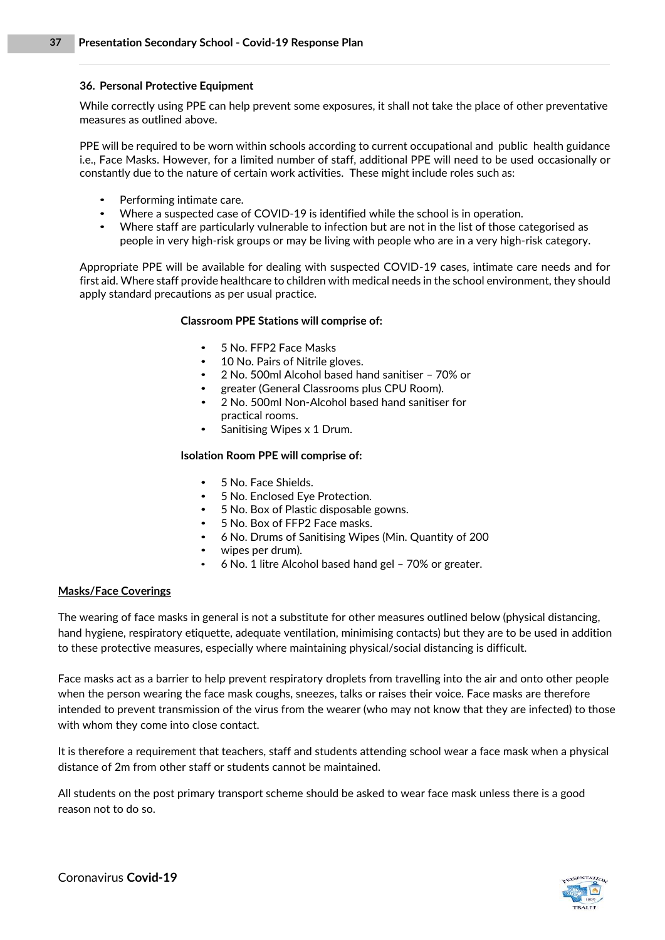# <span id="page-36-0"></span>**36. Personal Protective Equipment**

While correctly using PPE can help prevent some exposures, it shall not take the place of other preventative measures as outlined above.

PPE will be required to be worn within schools according to current occupational and public health guidance i.e., Face Masks. However, for a limited number of staff, additional PPE will need to be used occasionally or constantly due to the nature of certain work activities. These might include roles such as:

- Performing intimate care.
- Where a suspected case of COVID-19 is identified while the school is in operation.
- Where staff are particularly vulnerable to infection but are not in the list of those categorised as people in very high-risk groups or may be living with people who are in a very high-risk category.

Appropriate PPE will be available for dealing with suspected COVID-19 cases, intimate care needs and for first aid. Where staff provide healthcare to children with medical needs in the school environment, they should apply standard precautions as per usual practice.

# **Classroom PPE Stations will comprise of:**

- 5 No. FFP2 Face Masks
- 10 No. Pairs of Nitrile gloves.
- 2 No. 500ml Alcohol based hand sanitiser 70% or
- greater (General Classrooms plus CPU Room).
- 2 No. 500ml Non-Alcohol based hand sanitiser for practical rooms.
- Sanitising Wipes x 1 Drum.

# **Isolation Room PPE will comprise of:**

- 5 No. Face Shields.
- 5 No. Enclosed Eye Protection.
- 5 No. Box of Plastic disposable gowns.
- 5 No. Box of FFP2 Face masks.
- 6 No. Drums of Sanitising Wipes (Min. Quantity of 200
- wipes per drum).
- 6 No. 1 litre Alcohol based hand gel 70% or greater.

# **Masks/Face Coverings**

The wearing of face masks in general is not a substitute for other measures outlined below (physical distancing, hand hygiene, respiratory etiquette, adequate ventilation, minimising contacts) but they are to be used in addition to these protective measures, especially where maintaining physical/social distancing is difficult.

Face masks act as a barrier to help prevent respiratory droplets from travelling into the air and onto other people when the person wearing the face mask coughs, sneezes, talks or raises their voice. Face masks are therefore intended to prevent transmission of the virus from the wearer (who may not know that they are infected) to those with whom they come into close contact.

It is therefore a requirement that teachers, staff and students attending school wear a face mask when a physical distance of 2m from other staff or students cannot be maintained.

All students on the post primary transport scheme should be asked to wear face mask unless there is a good reason not to do so.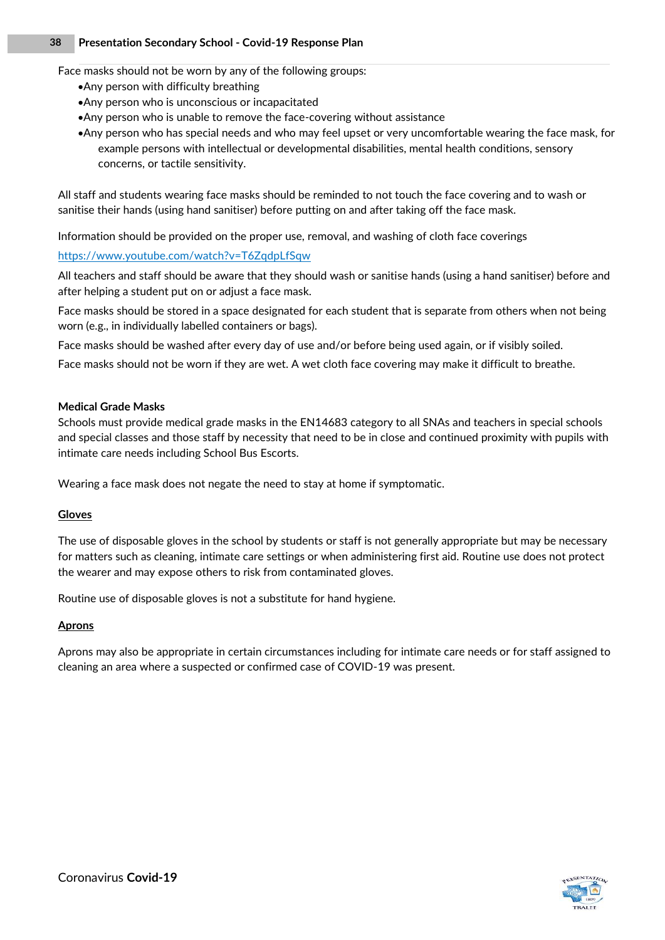# **38 Presentation Secondary School - Covid-19 Response Plan**

Face masks should not be worn by any of the following groups:

- •Any person with difficulty breathing
- •Any person who is unconscious or incapacitated
- •Any person who is unable to remove the face-covering without assistance
- •Any person who has special needs and who may feel upset or very uncomfortable wearing the face mask, for example persons with intellectual or developmental disabilities, mental health conditions, sensory concerns, or tactile sensitivity.

All staff and students wearing face masks should be reminded to not touch the face covering and to wash or sanitise their hands (using hand sanitiser) before putting on and after taking off the face mask.

Information should be provided on the proper use, removal, and washing of cloth face coverings

# <https://www.youtube.com/watch?v=T6ZqdpLfSqw>

All teachers and staff should be aware that they should wash or sanitise hands (using a hand sanitiser) before and after helping a student put on or adjust a face mask.

Face masks should be stored in a space designated for each student that is separate from others when not being worn (e.g., in individually labelled containers or bags).

Face masks should be washed after every day of use and/or before being used again, or if visibly soiled.

Face masks should not be worn if they are wet. A wet cloth face covering may make it difficult to breathe.

# **Medical Grade Masks**

Schools must provide medical grade masks in the EN14683 category to all SNAs and teachers in special schools and special classes and those staff by necessity that need to be in close and continued proximity with pupils with intimate care needs including School Bus Escorts.

Wearing a face mask does not negate the need to stay at home if symptomatic.

# **Gloves**

The use of disposable gloves in the school by students or staff is not generally appropriate but may be necessary for matters such as cleaning, intimate care settings or when administering first aid. Routine use does not protect the wearer and may expose others to risk from contaminated gloves.

Routine use of disposable gloves is not a substitute for hand hygiene.

# **Aprons**

Aprons may also be appropriate in certain circumstances including for intimate care needs or for staff assigned to cleaning an area where a suspected or confirmed case of COVID-19 was present.

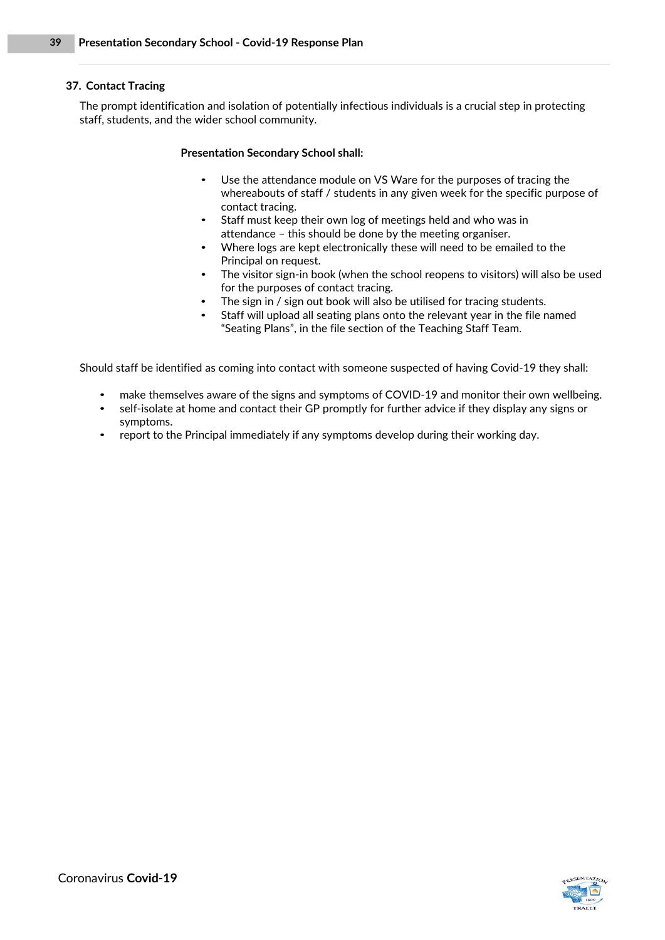# <span id="page-38-0"></span>**37. Contact Tracing**

The prompt identification and isolation of potentially infectious individuals is a crucial step in protecting staff, students, and the wider school community.

# **Presentation Secondary School shall:**

- Use the attendance module on VS Ware for the purposes of tracing the whereabouts of staff / students in any given week for the specific purpose of contact tracing.
- Staff must keep their own log of meetings held and who was in attendance – this should be done by the meeting organiser.
- Where logs are kept electronically these will need to be emailed to the Principal on request.
- The visitor sign-in book (when the school reopens to visitors) will also be used for the purposes of contact tracing.
- The sign in / sign out book will also be utilised for tracing students.
- Staff will upload all seating plans onto the relevant year in the file named "Seating Plans", in the file section of the Teaching Staff Team.

Should staff be identified as coming into contact with someone suspected of having Covid-19 they shall:

- make themselves aware of the signs and symptoms of COVID-19 and monitor their own wellbeing.<br>• self-isolate at home and contact their GP promptly for further advice if they display any signs or
- self-isolate at home and contact their GP promptly for further advice if they display any signs or symptoms.
- report to the Principal immediately if any symptoms develop during their working day.

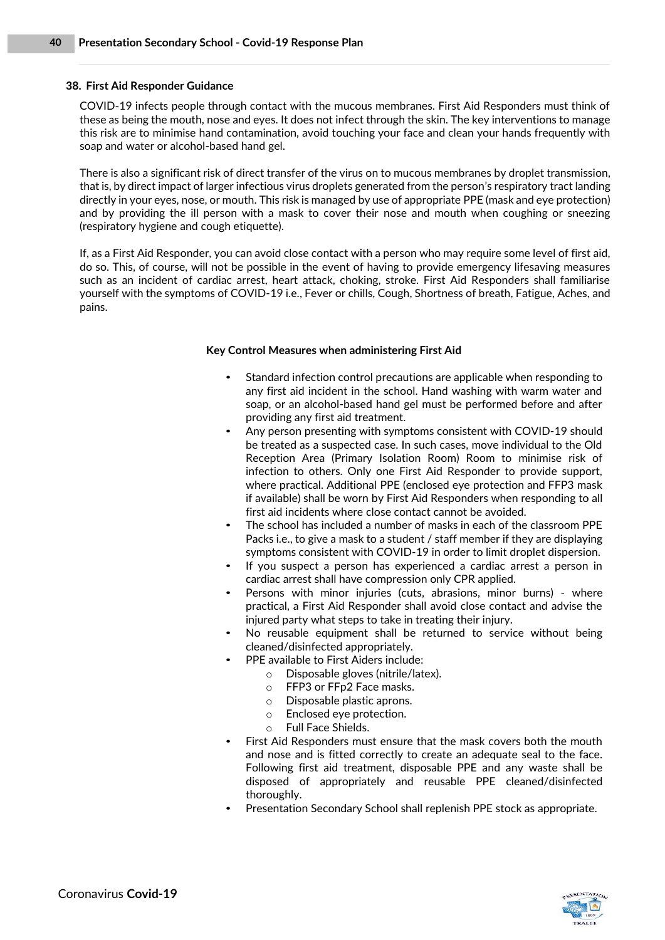#### <span id="page-39-0"></span>**38. First Aid Responder Guidance**

COVID-19 infects people through contact with the mucous membranes. First Aid Responders must think of these as being the mouth, nose and eyes. It does not infect through the skin. The key interventions to manage this risk are to minimise hand contamination, avoid touching your face and clean your hands frequently with soap and water or alcohol-based hand gel.

There is also a significant risk of direct transfer of the virus on to mucous membranes by droplet transmission, that is, by direct impact of larger infectious virus droplets generated from the person's respiratory tract landing directly in your eyes, nose, or mouth. This risk is managed by use of appropriate PPE (mask and eye protection) and by providing the ill person with a mask to cover their nose and mouth when coughing or sneezing (respiratory hygiene and cough etiquette).

If, as a First Aid Responder, you can avoid close contact with a person who may require some level of first aid, do so. This, of course, will not be possible in the event of having to provide emergency lifesaving measures such as an incident of cardiac arrest, heart attack, choking, stroke. First Aid Responders shall familiarise yourself with the symptoms of COVID-19 i.e., Fever or chills, Cough, Shortness of breath, Fatigue, Aches, and pains.

#### **Key Control Measures when administering First Aid**

- Standard infection control precautions are applicable when responding to any first aid incident in the school. Hand washing with warm water and soap, or an alcohol-based hand gel must be performed before and after providing any first aid treatment.
- Any person presenting with symptoms consistent with COVID-19 should be treated as a suspected case. In such cases, move individual to the Old Reception Area (Primary Isolation Room) Room to minimise risk of infection to others. Only one First Aid Responder to provide support, where practical. Additional PPE (enclosed eye protection and FFP3 mask if available) shall be worn by First Aid Responders when responding to all first aid incidents where close contact cannot be avoided.
- The school has included a number of masks in each of the classroom PPE Packs i.e., to give a mask to a student / staff member if they are displaying symptoms consistent with COVID-19 in order to limit droplet dispersion.
- If you suspect a person has experienced a cardiac arrest a person in cardiac arrest shall have compression only CPR applied.
- Persons with minor injuries (cuts, abrasions, minor burns) where practical, a First Aid Responder shall avoid close contact and advise the injured party what steps to take in treating their injury.
- No reusable equipment shall be returned to service without being cleaned/disinfected appropriately.
- PPE available to First Aiders include:
	- o Disposable gloves (nitrile/latex).
	- o FFP3 or FFp2 Face masks.
	- o Disposable plastic aprons.
	- o Enclosed eye protection.
	- o Full Face Shields.
- First Aid Responders must ensure that the mask covers both the mouth and nose and is fitted correctly to create an adequate seal to the face. Following first aid treatment, disposable PPE and any waste shall be disposed of appropriately and reusable PPE cleaned/disinfected thoroughly.
- Presentation Secondary School shall replenish PPE stock as appropriate.

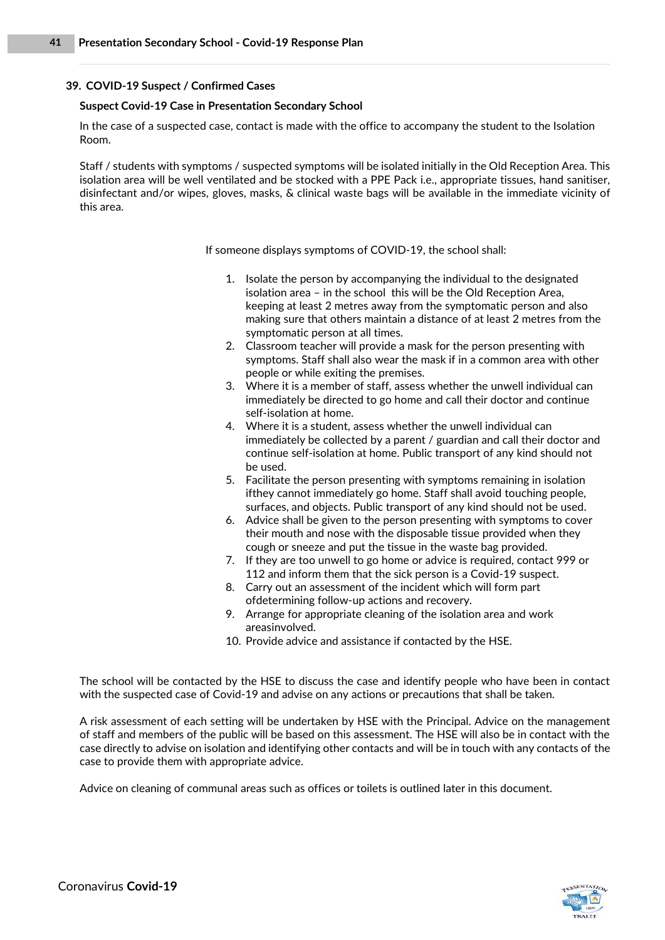# <span id="page-40-0"></span>**39. COVID-19 Suspect / Confirmed Cases**

#### **Suspect Covid-19 Case in Presentation Secondary School**

In the case of a suspected case, contact is made with the office to accompany the student to the Isolation Room.

Staff / students with symptoms / suspected symptoms will be isolated initially in the Old Reception Area. This isolation area will be well ventilated and be stocked with a PPE Pack i.e., appropriate tissues, hand sanitiser, disinfectant and/or wipes, gloves, masks, & clinical waste bags will be available in the immediate vicinity of this area.

If someone displays symptoms of COVID-19, the school shall:

- 1. Isolate the person by accompanying the individual to the designated isolation area – in the school this will be the Old Reception Area, keeping at least 2 metres away from the symptomatic person and also making sure that others maintain a distance of at least 2 metres from the symptomatic person at all times.
- 2. Classroom teacher will provide a mask for the person presenting with symptoms. Staff shall also wear the mask if in a common area with other people or while exiting the premises.
- 3. Where it is a member of staff, assess whether the unwell individual can immediately be directed to go home and call their doctor and continue self-isolation at home.
- 4. Where it is a student, assess whether the unwell individual can immediately be collected by a parent / guardian and call their doctor and continue self-isolation at home. Public transport of any kind should not be used.
- 5. Facilitate the person presenting with symptoms remaining in isolation ifthey cannot immediately go home. Staff shall avoid touching people, surfaces, and objects. Public transport of any kind should not be used.
- 6. Advice shall be given to the person presenting with symptoms to cover their mouth and nose with the disposable tissue provided when they cough or sneeze and put the tissue in the waste bag provided.
- 7. If they are too unwell to go home or advice is required, contact 999 or 112 and inform them that the sick person is a Covid-19 suspect.
- 8. Carry out an assessment of the incident which will form part of determining follow-up actions and recovery.
- 9. Arrange for appropriate cleaning of the isolation area and work areasinvolved.
- 10. Provide advice and assistance if contacted by the HSE.

The school will be contacted by the HSE to discuss the case and identify people who have been in contact with the suspected case of Covid-19 and advise on any actions or precautions that shall be taken.

A risk assessment of each setting will be undertaken by HSE with the Principal. Advice on the management of staff and members of the public will be based on this assessment. The HSE will also be in contact with the case directly to advise on isolation and identifying other contacts and will be in touch with any contacts of the case to provide them with appropriate advice.

Advice on cleaning of communal areas such as offices or toilets is outlined later in this document.

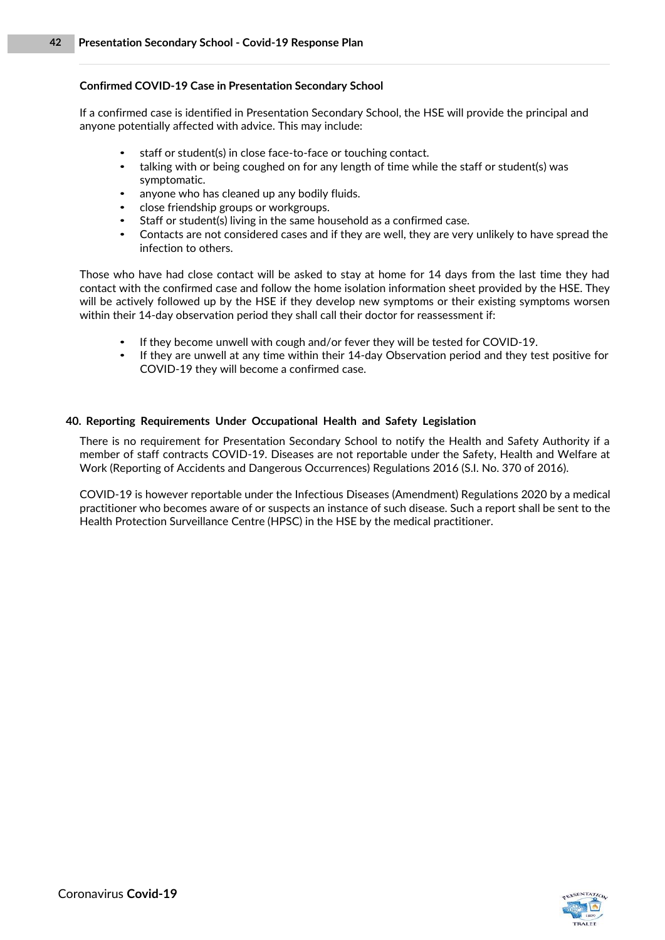# **Confirmed COVID-19 Case in Presentation Secondary School**

If a confirmed case is identified in Presentation Secondary School, the HSE will provide the principal and anyone potentially affected with advice. This may include:

- staff or student(s) in close face-to-face or touching contact.<br>• talking with or being coughed on for any length of time while
- talking with or being coughed on for any length of time while the staff or student(s) was symptomatic.
- anyone who has cleaned up any bodily fluids.
- close friendship groups or workgroups.
- Staff or student(s) living in the same household as a confirmed case.
- Contacts are not considered cases and if they are well, they are very unlikely to have spread the infection to others.

Those who have had close contact will be asked to stay at home for 14 days from the last time they had contact with the confirmed case and follow the home isolation information sheet provided by the HSE. They will be actively followed up by the HSE if they develop new symptoms or their existing symptoms worsen within their 14-day observation period they shall call their doctor for reassessment if:

- If they become unwell with cough and/or fever they will be tested for COVID-19.
- If they are unwell at any time within their 14-day Observation period and they test positive for COVID-19 they will become a confirmed case.

# <span id="page-41-0"></span>**40. Reporting Requirements Under Occupational Health and Safety Legislation**

There is no requirement for Presentation Secondary School to notify the Health and Safety Authority if a member of staff contracts COVID-19. Diseases are not reportable under the Safety, Health and Welfare at Work (Reporting of Accidents and Dangerous Occurrences) Regulations 2016 (S.I. No. 370 of 2016).

COVID-19 is however reportable under the Infectious Diseases (Amendment) Regulations 2020 by a medical practitioner who becomes aware of or suspects an instance of such disease. Such a report shall be sent to the Health Protection Surveillance Centre (HPSC) in the HSE by the medical practitioner.

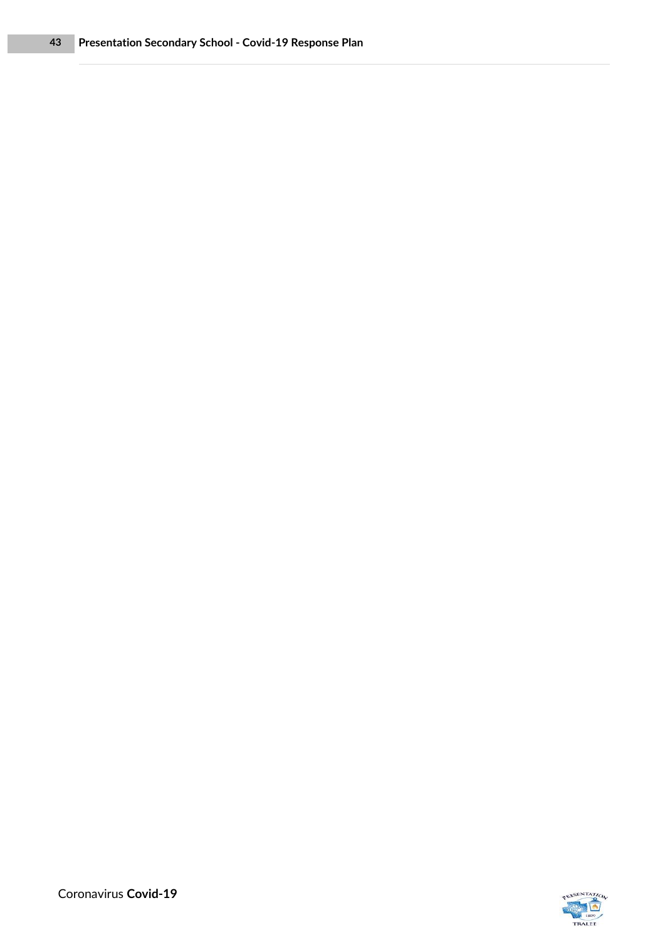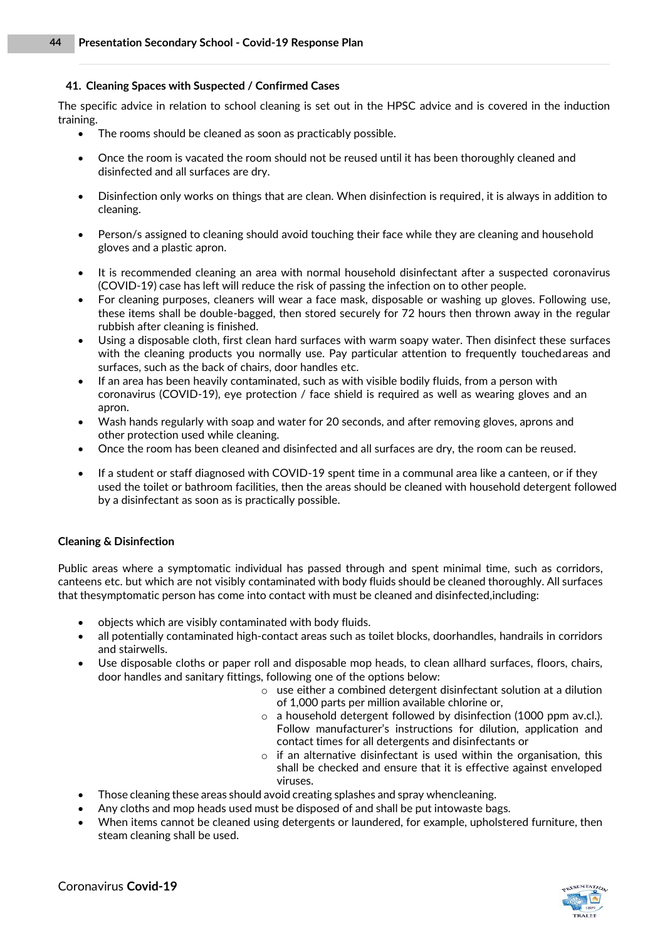# <span id="page-43-0"></span>**41. Cleaning Spaces with Suspected / Confirmed Cases**

The specific advice in relation to school cleaning is set out in the HPSC advice and is covered in the induction training.

- The rooms should be cleaned as soon as practicably possible.
- Once the room is vacated the room should not be reused until it has been thoroughly cleaned and disinfected and all surfaces are dry.
- Disinfection only works on things that are clean. When disinfection is required, it is always in addition to cleaning.
- Person/s assigned to cleaning should avoid touching their face while they are cleaning and household gloves and a plastic apron.
- It is recommended cleaning an area with normal household disinfectant after a suspected coronavirus (COVID-19) case has left will reduce the risk of passing the infection on to other people.
- For cleaning purposes, cleaners will wear a face mask, disposable or washing up gloves. Following use, these items shall be double-bagged, then stored securely for 72 hours then thrown away in the regular rubbish after cleaning is finished.
- Using a disposable cloth, first clean hard surfaces with warm soapy water. Then disinfect these surfaces with the cleaning products you normally use. Pay particular attention to frequently touched areas and surfaces, such as the back of chairs, door handles etc.
- If an area has been heavily contaminated, such as with visible bodily fluids, from a person with coronavirus (COVID-19), eye protection / face shield is required as well as wearing gloves and an apron.
- Wash hands regularly with soap and water for 20 seconds, and after removing gloves, aprons and other protection used while cleaning.
- Once the room has been cleaned and disinfected and all surfaces are dry, the room can be reused.
- If a student or staff diagnosed with COVID-19 spent time in a communal area like a canteen, or if they used the toilet or bathroom facilities, then the areas should be cleaned with household detergent followed by a disinfectant as soon as is practically possible.

# **Cleaning & Disinfection**

Public areas where a symptomatic individual has passed through and spent minimal time, such as corridors, canteens etc. but which are not visibly contaminated with body fluids should be cleaned thoroughly. All surfaces that the symptomatic person has come into contact with must be cleaned and disinfected, including:

- objects which are visibly contaminated with body fluids.
- all potentially contaminated high-contact areas such as toilet blocks, doorhandles, handrails in corridors and stairwells.
- Use disposable cloths or paper roll and disposable mop heads, to clean allhard surfaces, floors, chairs, door handles and sanitary fittings, following one of the options below:
	- o use either a combined detergent disinfectant solution at a dilution of 1,000 parts per million available chlorine or,
	- $\circ$  a household detergent followed by disinfection (1000 ppm av.cl.). Follow manufacturer's instructions for dilution, application and contact times for all detergents and disinfectants or
	- $\circ$  if an alternative disinfectant is used within the organisation, this shall be checked and ensure that it is effective against enveloped viruses.
- Those cleaning these areas should avoid creating splashes and spray when cleaning.
- Any cloths and mop heads used must be disposed of and shall be put into waste bags.
- When items cannot be cleaned using detergents or laundered, for example, upholstered furniture, then steam cleaning shall be used.

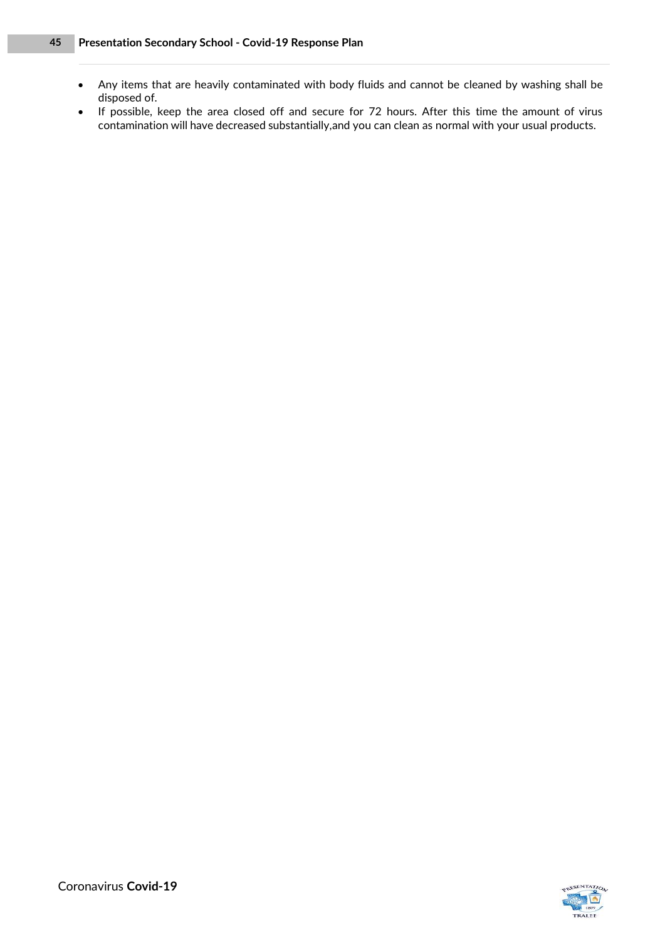- Any items that are heavily contaminated with body fluids and cannot be cleaned by washing shall be disposed of.
- If possible, keep the area closed off and secure for 72 hours. After this time the amount of virus contamination will have decreased substantially, and you can clean as normal with your usual products.

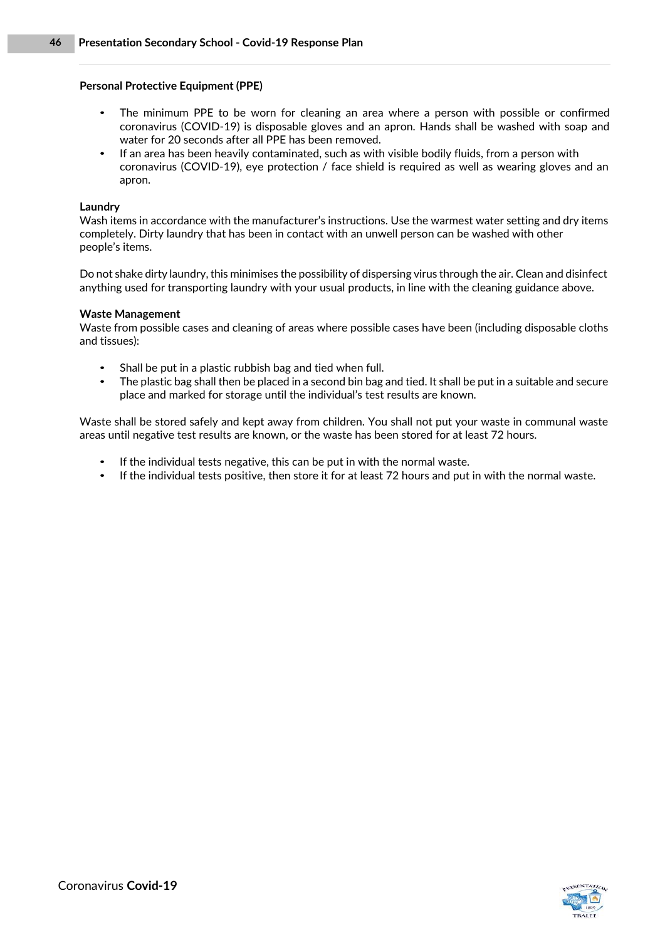# **Personal Protective Equipment (PPE)**

- The minimum PPE to be worn for cleaning an area where a person with possible or confirmed coronavirus (COVID-19) is disposable gloves and an apron. Hands shall be washed with soap and water for 20 seconds after all PPE has been removed.
- If an area has been heavily contaminated, such as with visible bodily fluids, from a person with coronavirus (COVID-19), eye protection / face shield is required as well as wearing gloves and an apron.

#### **Laundry**

Wash items in accordance with the manufacturer's instructions. Use the warmest water setting and dry items completely. Dirty laundry that has been in contact with an unwell person can be washed with other people's items.

Do not shake dirty laundry, this minimises the possibility of dispersing virus through the air. Clean and disinfect anything used for transporting laundry with your usual products, in line with the cleaning guidance above.

#### **Waste Management**

Waste from possible cases and cleaning of areas where possible cases have been (including disposable cloths and tissues):

- Shall be put in a plastic rubbish bag and tied when full.
- The plastic bag shall then be placed in a second bin bag and tied. It shall be put in a suitable and secure place and marked for storage until the individual's test results are known.

Waste shall be stored safely and kept away from children. You shall not put your waste in communal waste areas until negative test results are known, or the waste has been stored for at least 72 hours.

- If the individual tests negative, this can be put in with the normal waste.
- If the individual tests positive, then store it for at least 72 hours and put in with the normal waste.

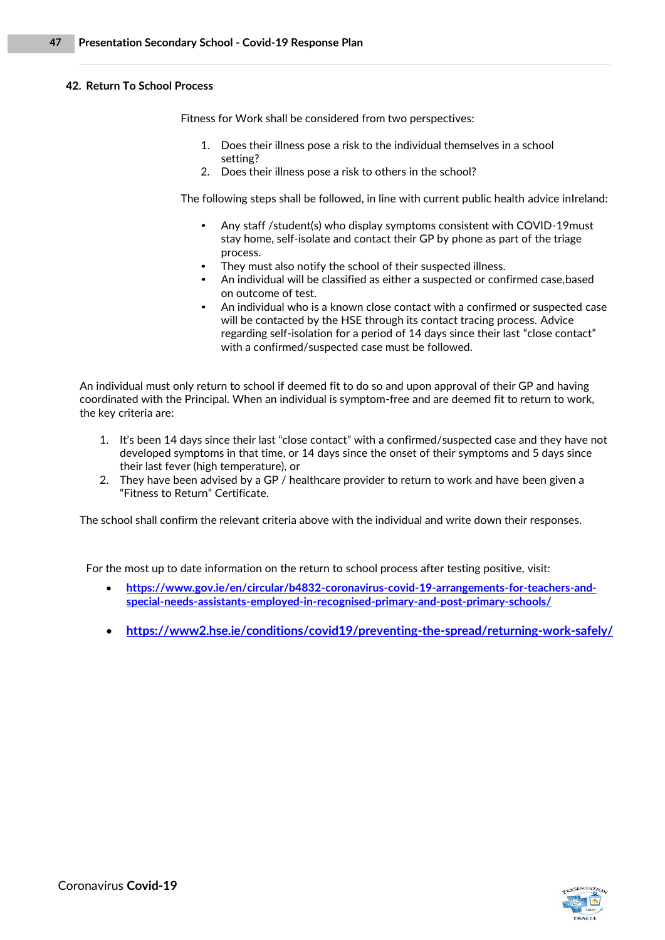# <span id="page-46-0"></span>**42. Return To School Process**

Fitness for Work shall be considered from two perspectives:

- 1. Does their illness pose a risk to the individual themselves in a school setting?
- 2. Does their illness pose a risk to others in the school?

The following steps shall be followed, in line with current public health advice in Ireland:

- Any staff /student(s) who display symptoms consistent with COVID-19 must stay home, self-isolate and contact their GP by phone as part of the triage process.
- They must also notify the school of their suspected illness.
- An individual will be classified as either a suspected or confirmed case, based on outcome of test.
- An individual who is a known close contact with a confirmed or suspected case will be contacted by the HSE through its contact tracing process. Advice regarding self-isolation for a period of 14 days since their last "close contact" with a confirmed/suspected case must be followed.

An individual must only return to school if deemed fit to do so and upon approval of their GP and having coordinated with the Principal. When an individual is symptom-free and are deemed fit to return to work, the key criteria are:

- 1. It's been 14 days since their last "close contact" with a confirmed/suspected case and they have not developed symptoms in that time, or 14 days since the onset of their symptoms and 5 days since their last fever (high temperature), or
- 2. They have been advised by a GP / healthcare provider to return to work and have been given a "Fitness to Return" Certificate.

The school shall confirm the relevant criteria above with the individual and write down their responses.

For the most up to date information on the return to school process after testing positive, visit:

- **[https://www.gov.ie/en/circular/b4832-coronavirus-covid-19-arrangements-for-teachers-and](https://www.gov.ie/en/circular/b4832-coronavirus-covid-19-arrangements-for-teachers-and-special-needs-assistants-employed-in-recognised-primary-and-post-primary-schools/)[special-needs-assistants-employed-in-recognised-primary-and-post-primary-schools/](https://www.gov.ie/en/circular/b4832-coronavirus-covid-19-arrangements-for-teachers-and-special-needs-assistants-employed-in-recognised-primary-and-post-primary-schools/)**
- **<https://www2.hse.ie/conditions/covid19/preventing-the-spread/returning-work-safely/>**

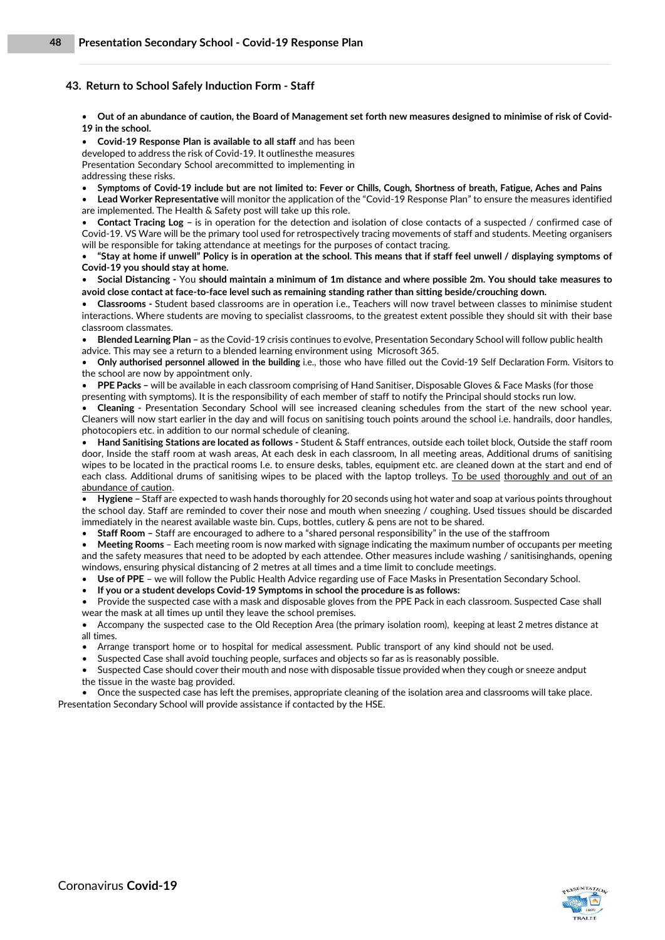#### <span id="page-47-0"></span>**43. Return to School Safely Induction Form - Staff**

• **Out of an abundance of caution, the Board of Management set forth new measures designed to minimise of risk of Covid-19 in the school.** 

• **Covid-19 Response Plan is available to all staff** and has been developed to address the risk of Covid-19. It outlinesthe measures Presentation Secondary School are committed to implementing in addressing these risks.

• **Symptoms of Covid-19 include but are not limited to: Fever or Chills, Cough, Shortness of breath, Fatigue, Aches and Pains**

• **Lead Worker Representative** will monitor the application of the "Covid-19 Response Plan" to ensure the measures identified are implemented. The Health & Safety post will take up this role.

• **Contact Tracing Log –** is in operation for the detection and isolation of close contacts of a suspected / confirmed case of Covid-19. VS Ware will be the primary tool used for retrospectively tracing movements of staff and students. Meeting organisers will be responsible for taking attendance at meetings for the purposes of contact tracing.

• **"Stay at home if unwell" Policy is in operation at the school. This means that if staff feel unwell / displaying symptoms of Covid-19 you should stay at home.** 

• **Social Distancing -** You **should maintain a minimum of 1m distance and where possible 2m. You should take measures to avoid close contact at face-to-face level such as remaining standing rather than sitting beside/crouching down.** 

• **Classrooms -** Student based classrooms are in operation i.e., Teachers will now travel between classes to minimise student interactions. Where students are moving to specialist classrooms, to the greatest extent possible they should sit with their base classroom classmates.

• **Blended Learning Plan –** as the Covid-19 crisis continues to evolve, Presentation Secondary School will follow public health advice. This may see a return to a blended learning environment using Microsoft 365.

• **Only authorised personnel allowed in the building** i.e., those who have filled out the Covid-19 Self Declaration Form. Visitors to the school are now by appointment only.

• **PPE Packs –** will be available in each classroom comprising of Hand Sanitiser, Disposable Gloves & Face Masks (for those presenting with symptoms). It is the responsibility of each member of staff to notify the Principal should stocks run low.

• **Cleaning -** Presentation Secondary School will see increased cleaning schedules from the start of the new school year. Cleaners will now start earlier in the day and will focus on sanitising touch points around the school i.e. handrails, door handles, photocopiers etc. in addition to our normal schedule of cleaning.

• **Hand Sanitising Stations are located as follows -** Student & Staff entrances, outside each toilet block, Outside the staff room door, Inside the staff room at wash areas, At each desk in each classroom, In all meeting areas, Additional drums of sanitising wipes to be located in the practical rooms I.e. to ensure desks, tables, equipment etc. are cleaned down at the start and end of each class. Additional drums of sanitising wipes to be placed with the laptop trolleys. To be used thoroughly and out of an abundance of caution.

• **Hygiene –** Staff are expected to wash hands thoroughly for 20 seconds using hot water and soap at various points throughout the school day. Staff are reminded to cover their nose and mouth when sneezing / coughing. Used tissues should be discarded immediately in the nearest available waste bin. Cups, bottles, cutlery & pens are not to be shared.

• **Staff Room –** Staff are encouraged to adhere to a "shared personal responsibility" in the use of the staffroom

• **Meeting Rooms** – Each meeting room is now marked with signage indicating the maximum number of occupants per meeting and the safety measures that need to be adopted by each attendee. Other measures include washing / sanitisinghands, opening windows, ensuring physical distancing of 2 metres at all times and a time limit to conclude meetings.

• **Use of PPE** – we will follow the Public Health Advice regarding use of Face Masks in Presentation Secondary School.

• **If you or a student develops Covid-19 Symptoms in school the procedure is as follows:** 

• Provide the suspected case with a mask and disposable gloves from the PPE Pack in each classroom. Suspected Case shall wear the mask at all times up until they leave the school premises.

• Accompany the suspected case to the Old Reception Area (the primary isolation room), keeping at least 2 metres distance at all times.

- Arrange transport home or to hospital for medical assessment. Public transport of any kind should not be used.
- Suspected Case shall avoid touching people, surfaces and objects so far as is reasonably possible.

Suspected Case should cover their mouth and nose with disposable tissue provided when they cough or sneeze and put the tissue in the waste bag provided.

• Once the suspected case has left the premises, appropriate cleaning of the isolation area and classrooms will take place. Presentation Secondary School will provide assistance if contacted by the HSE.

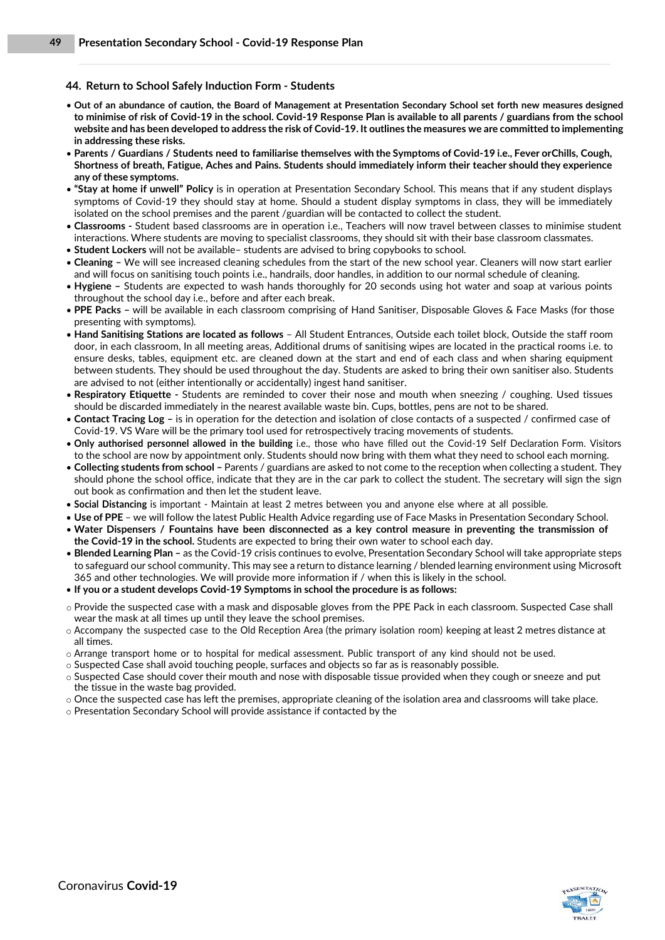#### <span id="page-48-0"></span>**44. Return to School Safely Induction Form - Students**

- **Out of an abundance of caution, the Board of Management at Presentation Secondary School set forth new measures designed to minimise of risk of Covid-19 in the school. Covid-19 Response Plan is available to all parents / guardians from the school website and has been developed to address the risk of Covid-19. It outlines the measures we are committed to implementing in addressing these risks.**
- **Parents / Guardians / Students need to familiarise themselves with the Symptoms of Covid-19 i.e., Fever or Chills, Cough, Shortness of breath, Fatigue, Aches and Pains. Students should immediately inform their teacher should they experience any of these symptoms.**
- **"Stay at home if unwell" Policy** is in operation at Presentation Secondary School. This means that if any student displays symptoms of Covid-19 they should stay at home. Should a student display symptoms in class, they will be immediately isolated on the school premises and the parent /guardian will be contacted to collect the student.
- **Classrooms** Student based classrooms are in operation i.e., Teachers will now travel between classes to minimise student interactions. Where students are moving to specialist classrooms, they should sit with their base classroom classmates.
- **Student Lockers** will not be available– students are advised to bring copybooks to school.
- **Cleaning –** We will see increased cleaning schedules from the start of the new school year. Cleaners will now start earlier and will focus on sanitising touch points i.e., handrails, door handles, in addition to our normal schedule of cleaning.
- **Hygiene –** Students are expected to wash hands thoroughly for 20 seconds using hot water and soap at various points throughout the school day i.e., before and after each break.
- **PPE Packs –** will be available in each classroom comprising of Hand Sanitiser, Disposable Gloves & Face Masks (for those presenting with symptoms).
- **Hand Sanitising Stations are located as follows**  All Student Entrances, Outside each toilet block, Outside the staff room door, in each classroom, In all meeting areas, Additional drums of sanitising wipes are located in the practical rooms i.e. to ensure desks, tables, equipment etc. are cleaned down at the start and end of each class and when sharing equipment between students. They should be used throughout the day. Students are asked to bring their own sanitiser also. Students are advised to not (either intentionally or accidentally) ingest hand sanitiser.
- **Respiratory Etiquette** Students are reminded to cover their nose and mouth when sneezing / coughing. Used tissues should be discarded immediately in the nearest available waste bin. Cups, bottles, pens are not to be shared.
- **Contact Tracing Log –** is in operation for the detection and isolation of close contacts of a suspected / confirmed case of Covid-19. VS Ware will be the primary tool used for retrospectively tracing movements of students.
- **Only authorised personnel allowed in the building** i.e., those who have filled out the Covid-19 Self Declaration Form. Visitors to the school are now by appointment only. Students should now bring with them what they need to school each morning.
- **Collecting students from school –** Parents / guardians are asked to not come to the reception when collecting a student. They should phone the school office, indicate that they are in the car park to collect the student. The secretary will sign the sign out book as confirmation and then let the student leave.
- **Social Distancing** is important Maintain at least 2 metres between you and anyone else where at all possible.
- **Use of PPE**  we will follow the latest Public Health Advice regarding use of Face Masks in Presentation Secondary School.
- **Water Dispensers / Fountains have been disconnected as a key control measure in preventing the transmission of the Covid-19 in the school.** Students are expected to bring their own water to school each day.
- **Blended Learning Plan –** as the Covid-19 crisis continues to evolve, Presentation Secondary School will take appropriate steps to safeguard our school community. This may see a return to distance learning / blended learning environment using Microsoft 365 and other technologies. We will provide more information if / when this is likely in the school.
- **If you or a student develops Covid-19 Symptoms in school the procedure is as follows:**
- o Provide the suspected case with a mask and disposable gloves from the PPE Pack in each classroom. Suspected Case shall wear the mask at all times up until they leave the school premises.
- o Accompany the suspected case to the Old Reception Area (the primary isolation room) keeping at least 2 metres distance at all times.
- o Arrange transport home or to hospital for medical assessment. Public transport of any kind should not be used.
- o Suspected Case shall avoid touching people, surfaces and objects so far as is reasonably possible.
- o Suspected Case should cover their mouth and nose with disposable tissue provided when they cough or sneeze and put the tissue in the waste bag provided.
- o Once the suspected case has left the premises, appropriate cleaning of the isolation area and classrooms will take place.
- o Presentation Secondary School will provide assistance if contacted by the